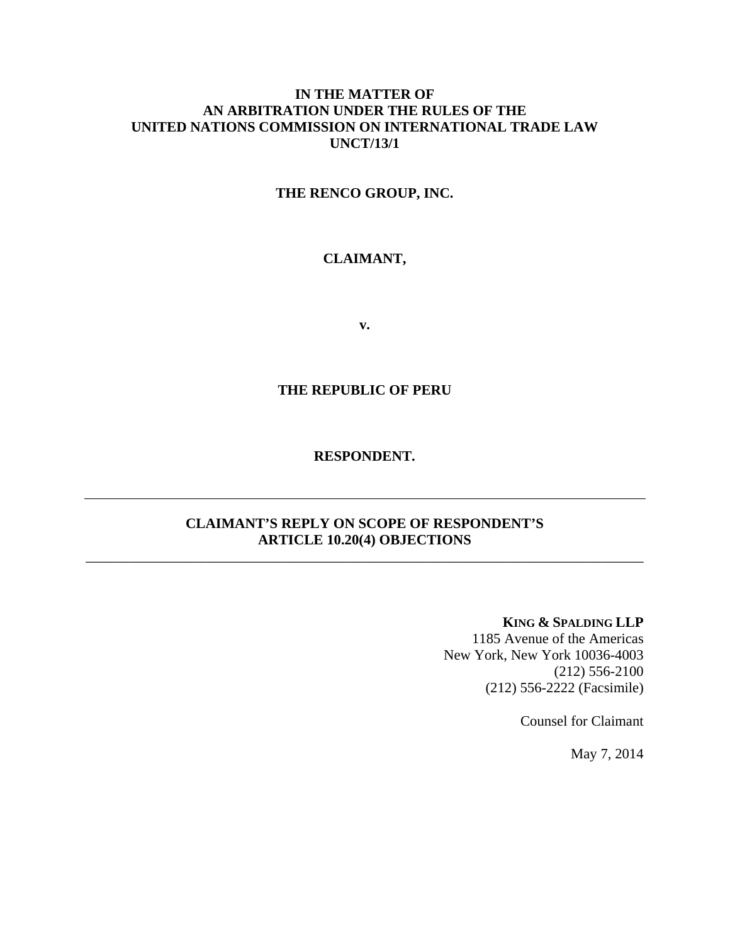# **IN THE MATTER OF AN ARBITRATION UNDER THE RULES OF THE UNITED NATIONS COMMISSION ON INTERNATIONAL TRADE LAW UNCT/13/1**

# **THE RENCO GROUP, INC.**

# **CLAIMANT,**

**v.** 

## **THE REPUBLIC OF PERU**

## **RESPONDENT.**

# **CLAIMANT'S REPLY ON SCOPE OF RESPONDENT'S ARTICLE 10.20(4) OBJECTIONS**

\_\_\_\_\_\_\_\_\_\_\_\_\_\_\_\_\_\_\_\_\_\_\_\_\_\_\_\_\_\_\_\_\_\_\_\_\_\_\_\_\_\_\_\_\_\_\_\_\_\_\_\_\_\_\_\_\_\_\_\_\_\_\_\_\_\_\_\_\_\_\_\_\_\_\_\_\_\_

#### **KING & SPALDING LLP**

1185 Avenue of the Americas New York, New York 10036-4003 (212) 556-2100 (212) 556-2222 (Facsimile)

Counsel for Claimant

May 7, 2014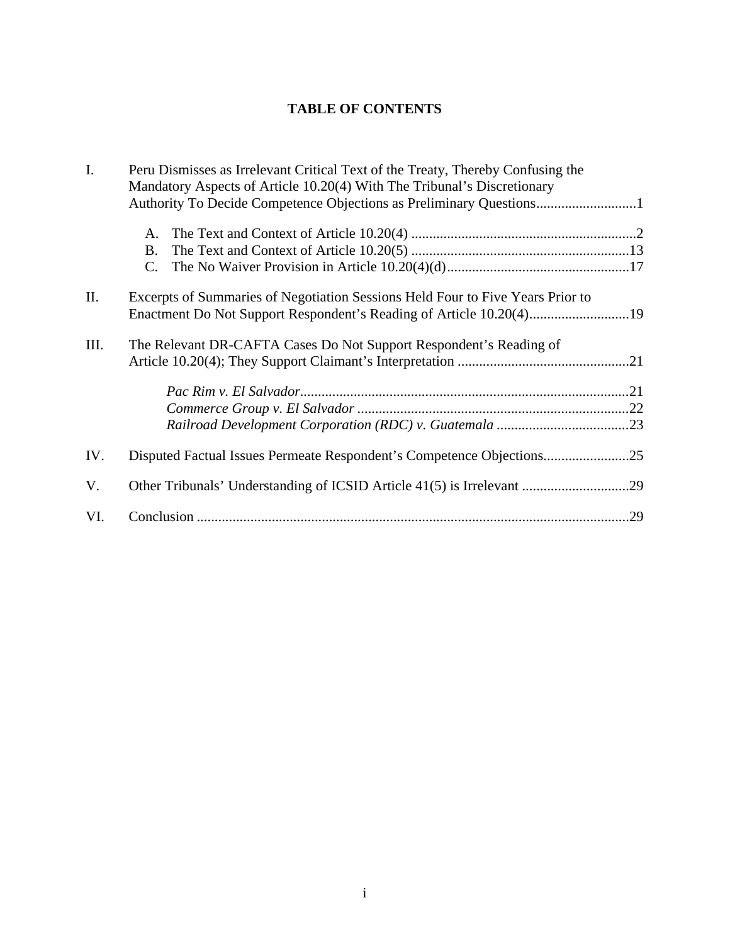# **TABLE OF CONTENTS**

| I.   | Peru Dismisses as Irrelevant Critical Text of the Treaty, Thereby Confusing the<br>Mandatory Aspects of Article 10.20(4) With The Tribunal's Discretionary |  |
|------|------------------------------------------------------------------------------------------------------------------------------------------------------------|--|
|      | Authority To Decide Competence Objections as Preliminary Questions1                                                                                        |  |
|      | A.                                                                                                                                                         |  |
|      | B.                                                                                                                                                         |  |
|      | C.                                                                                                                                                         |  |
| Π.   | Excerpts of Summaries of Negotiation Sessions Held Four to Five Years Prior to                                                                             |  |
|      | Enactment Do Not Support Respondent's Reading of Article 10.20(4)19                                                                                        |  |
| III. | The Relevant DR-CAFTA Cases Do Not Support Respondent's Reading of                                                                                         |  |
|      |                                                                                                                                                            |  |
|      |                                                                                                                                                            |  |
|      |                                                                                                                                                            |  |
|      |                                                                                                                                                            |  |
| IV.  | Disputed Factual Issues Permeate Respondent's Competence Objections25                                                                                      |  |
| V.   |                                                                                                                                                            |  |
| VI.  |                                                                                                                                                            |  |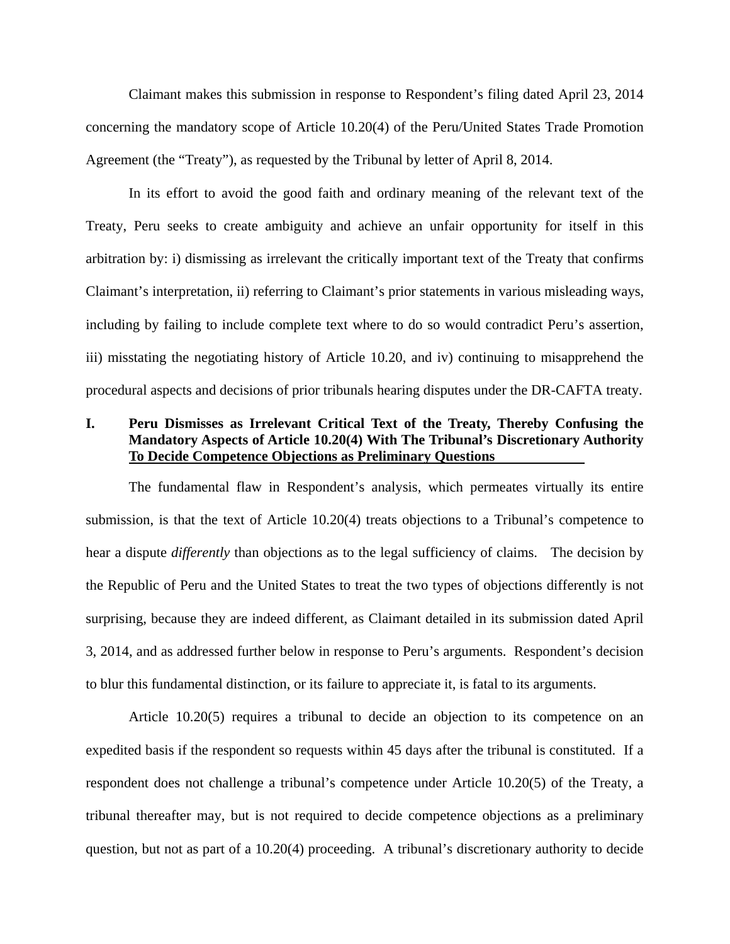Claimant makes this submission in response to Respondent's filing dated April 23, 2014 concerning the mandatory scope of Article 10.20(4) of the Peru/United States Trade Promotion Agreement (the "Treaty"), as requested by the Tribunal by letter of April 8, 2014.

In its effort to avoid the good faith and ordinary meaning of the relevant text of the Treaty, Peru seeks to create ambiguity and achieve an unfair opportunity for itself in this arbitration by: i) dismissing as irrelevant the critically important text of the Treaty that confirms Claimant's interpretation, ii) referring to Claimant's prior statements in various misleading ways, including by failing to include complete text where to do so would contradict Peru's assertion, iii) misstating the negotiating history of Article 10.20, and iv) continuing to misapprehend the procedural aspects and decisions of prior tribunals hearing disputes under the DR-CAFTA treaty.

# **I. Peru Dismisses as Irrelevant Critical Text of the Treaty, Thereby Confusing the Mandatory Aspects of Article 10.20(4) With The Tribunal's Discretionary Authority To Decide Competence Objections as Preliminary Questions**

The fundamental flaw in Respondent's analysis, which permeates virtually its entire submission, is that the text of Article 10.20(4) treats objections to a Tribunal's competence to hear a dispute *differently* than objections as to the legal sufficiency of claims. The decision by the Republic of Peru and the United States to treat the two types of objections differently is not surprising, because they are indeed different, as Claimant detailed in its submission dated April 3, 2014, and as addressed further below in response to Peru's arguments. Respondent's decision to blur this fundamental distinction, or its failure to appreciate it, is fatal to its arguments.

Article 10.20(5) requires a tribunal to decide an objection to its competence on an expedited basis if the respondent so requests within 45 days after the tribunal is constituted. If a respondent does not challenge a tribunal's competence under Article 10.20(5) of the Treaty, a tribunal thereafter may, but is not required to decide competence objections as a preliminary question, but not as part of a 10.20(4) proceeding. A tribunal's discretionary authority to decide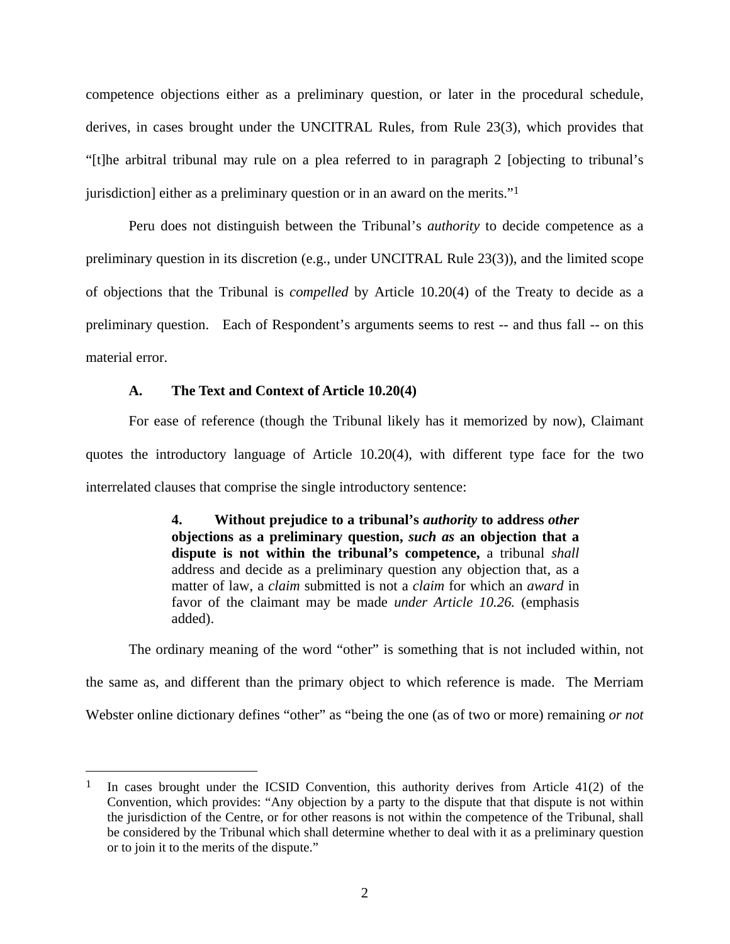competence objections either as a preliminary question, or later in the procedural schedule, derives, in cases brought under the UNCITRAL Rules, from Rule 23(3), which provides that "[t]he arbitral tribunal may rule on a plea referred to in paragraph 2 [objecting to tribunal's jurisdiction] either as a preliminary question or in an award on the merits."1

Peru does not distinguish between the Tribunal's *authority* to decide competence as a preliminary question in its discretion (e.g., under UNCITRAL Rule 23(3)), and the limited scope of objections that the Tribunal is *compelled* by Article 10.20(4) of the Treaty to decide as a preliminary question. Each of Respondent's arguments seems to rest -- and thus fall -- on this material error.

## **A. The Text and Context of Article 10.20(4)**

 $\overline{a}$ 

For ease of reference (though the Tribunal likely has it memorized by now), Claimant quotes the introductory language of Article 10.20(4), with different type face for the two interrelated clauses that comprise the single introductory sentence:

> **4. Without prejudice to a tribunal's** *authority* **to address** *other* **objections as a preliminary question,** *such as* **an objection that a dispute is not within the tribunal's competence,** a tribunal *shall* address and decide as a preliminary question any objection that, as a matter of law, a *claim* submitted is not a *claim* for which an *award* in favor of the claimant may be made *under Article 10.26.* (emphasis added).

The ordinary meaning of the word "other" is something that is not included within, not the same as, and different than the primary object to which reference is made. The Merriam Webster online dictionary defines "other" as "being the one (as of two or more) remaining *or not* 

<sup>&</sup>lt;sup>1</sup> In cases brought under the ICSID Convention, this authority derives from Article 41(2) of the Convention, which provides: "Any objection by a party to the dispute that that dispute is not within the jurisdiction of the Centre, or for other reasons is not within the competence of the Tribunal, shall be considered by the Tribunal which shall determine whether to deal with it as a preliminary question or to join it to the merits of the dispute."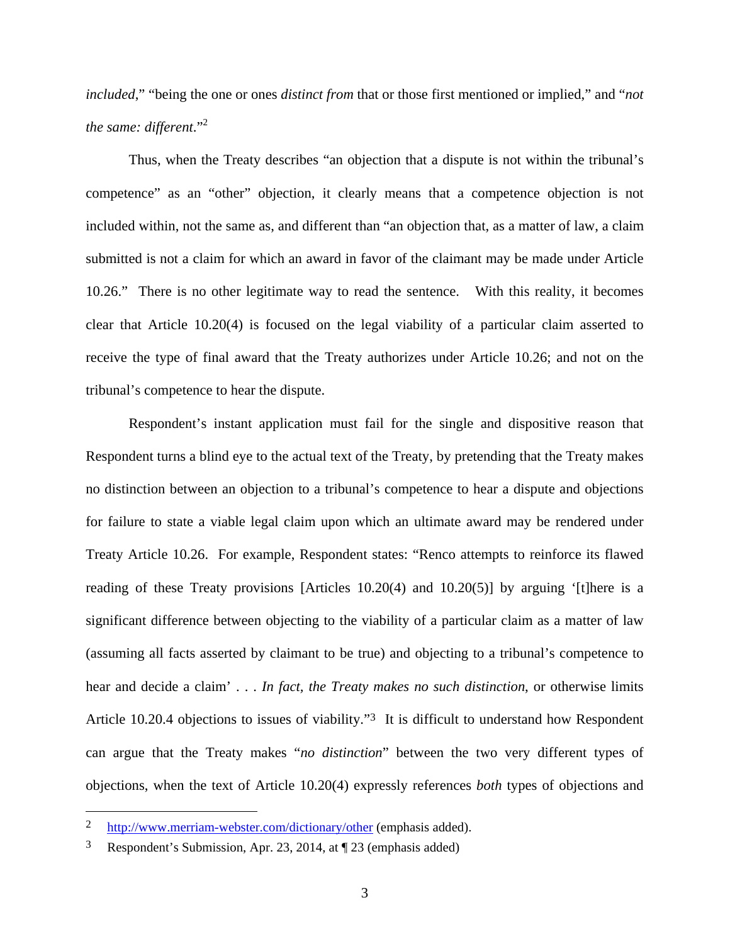*included*," "being the one or ones *distinct from* that or those first mentioned or implied," and "*not the same: different.*"<sup>2</sup>

Thus, when the Treaty describes "an objection that a dispute is not within the tribunal's competence" as an "other" objection, it clearly means that a competence objection is not included within, not the same as, and different than "an objection that, as a matter of law, a claim submitted is not a claim for which an award in favor of the claimant may be made under Article 10.26." There is no other legitimate way to read the sentence. With this reality, it becomes clear that Article 10.20(4) is focused on the legal viability of a particular claim asserted to receive the type of final award that the Treaty authorizes under Article 10.26; and not on the tribunal's competence to hear the dispute.

Respondent's instant application must fail for the single and dispositive reason that Respondent turns a blind eye to the actual text of the Treaty, by pretending that the Treaty makes no distinction between an objection to a tribunal's competence to hear a dispute and objections for failure to state a viable legal claim upon which an ultimate award may be rendered under Treaty Article 10.26. For example, Respondent states: "Renco attempts to reinforce its flawed reading of these Treaty provisions [Articles 10.20(4) and 10.20(5)] by arguing '[t]here is a significant difference between objecting to the viability of a particular claim as a matter of law (assuming all facts asserted by claimant to be true) and objecting to a tribunal's competence to hear and decide a claim' . . . *In fact, the Treaty makes no such distinction*, or otherwise limits Article 10.20.4 objections to issues of viability."3 It is difficult to understand how Respondent can argue that the Treaty makes "*no distinction*" between the two very different types of objections, when the text of Article 10.20(4) expressly references *both* types of objections and

<sup>2</sup> http://www.merriam-webster.com/dictionary/other (emphasis added).

<sup>3</sup> Respondent's Submission, Apr. 23, 2014, at ¶ 23 (emphasis added)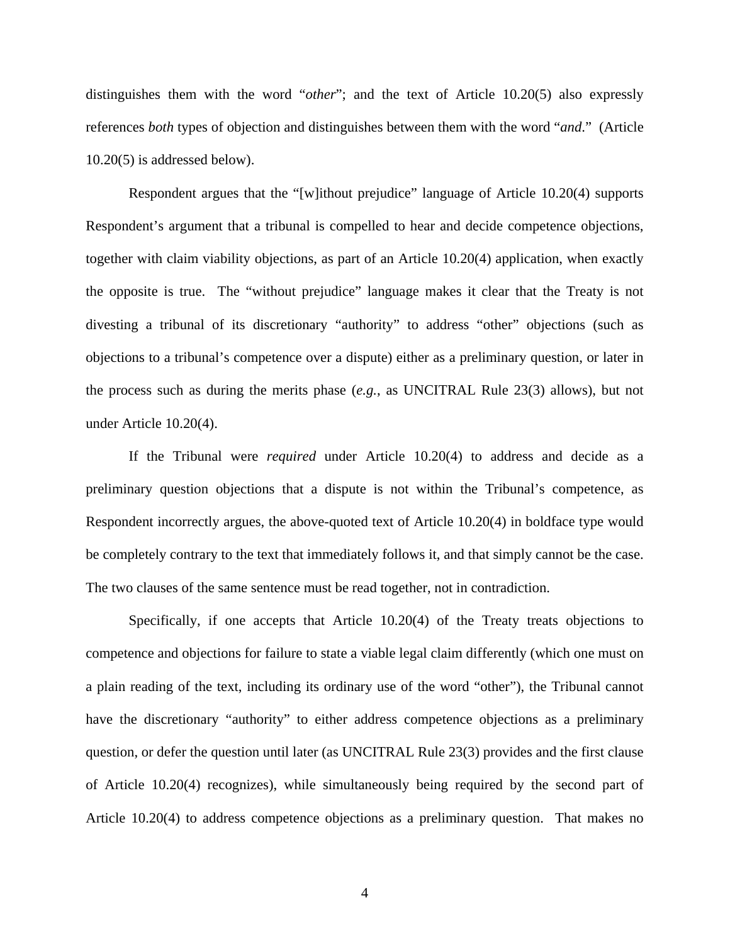distinguishes them with the word "*other*"; and the text of Article 10.20(5) also expressly references *both* types of objection and distinguishes between them with the word "*and*." (Article 10.20(5) is addressed below).

Respondent argues that the "[w]ithout prejudice" language of Article 10.20(4) supports Respondent's argument that a tribunal is compelled to hear and decide competence objections, together with claim viability objections, as part of an Article 10.20(4) application, when exactly the opposite is true. The "without prejudice" language makes it clear that the Treaty is not divesting a tribunal of its discretionary "authority" to address "other" objections (such as objections to a tribunal's competence over a dispute) either as a preliminary question, or later in the process such as during the merits phase (*e.g.*, as UNCITRAL Rule 23(3) allows), but not under Article 10.20(4).

If the Tribunal were *required* under Article 10.20(4) to address and decide as a preliminary question objections that a dispute is not within the Tribunal's competence, as Respondent incorrectly argues, the above-quoted text of Article 10.20(4) in boldface type would be completely contrary to the text that immediately follows it, and that simply cannot be the case. The two clauses of the same sentence must be read together, not in contradiction.

Specifically, if one accepts that Article 10.20(4) of the Treaty treats objections to competence and objections for failure to state a viable legal claim differently (which one must on a plain reading of the text, including its ordinary use of the word "other"), the Tribunal cannot have the discretionary "authority" to either address competence objections as a preliminary question, or defer the question until later (as UNCITRAL Rule 23(3) provides and the first clause of Article 10.20(4) recognizes), while simultaneously being required by the second part of Article 10.20(4) to address competence objections as a preliminary question. That makes no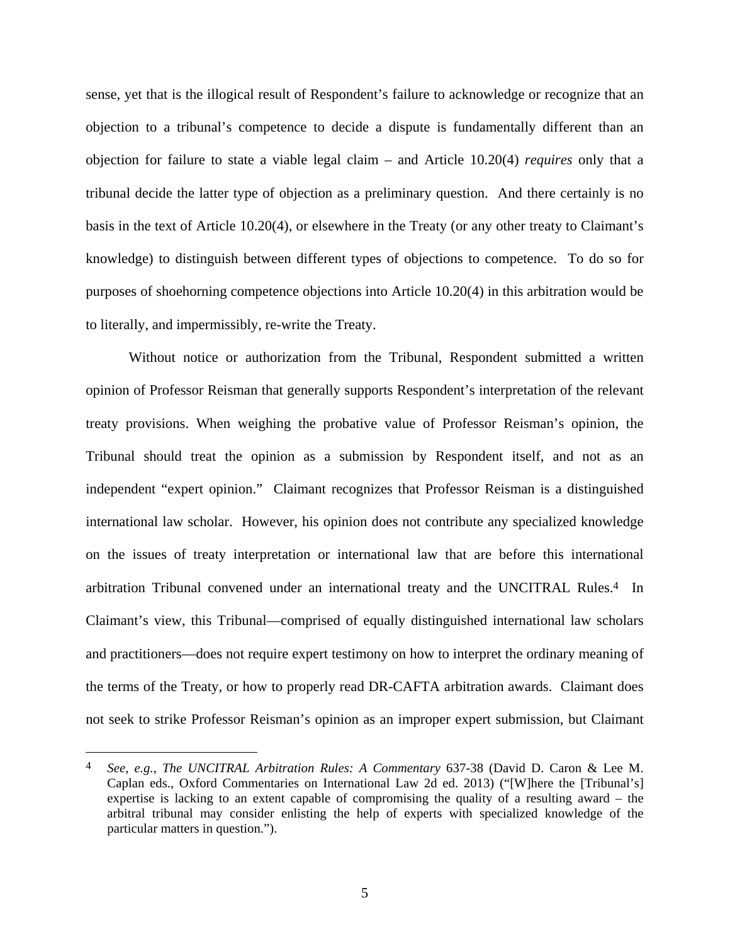sense, yet that is the illogical result of Respondent's failure to acknowledge or recognize that an objection to a tribunal's competence to decide a dispute is fundamentally different than an objection for failure to state a viable legal claim – and Article 10.20(4) *requires* only that a tribunal decide the latter type of objection as a preliminary question. And there certainly is no basis in the text of Article 10.20(4), or elsewhere in the Treaty (or any other treaty to Claimant's knowledge) to distinguish between different types of objections to competence. To do so for purposes of shoehorning competence objections into Article 10.20(4) in this arbitration would be to literally, and impermissibly, re-write the Treaty.

Without notice or authorization from the Tribunal, Respondent submitted a written opinion of Professor Reisman that generally supports Respondent's interpretation of the relevant treaty provisions. When weighing the probative value of Professor Reisman's opinion, the Tribunal should treat the opinion as a submission by Respondent itself, and not as an independent "expert opinion." Claimant recognizes that Professor Reisman is a distinguished international law scholar. However, his opinion does not contribute any specialized knowledge on the issues of treaty interpretation or international law that are before this international arbitration Tribunal convened under an international treaty and the UNCITRAL Rules.4 In Claimant's view, this Tribunal—comprised of equally distinguished international law scholars and practitioners—does not require expert testimony on how to interpret the ordinary meaning of the terms of the Treaty, or how to properly read DR-CAFTA arbitration awards. Claimant does not seek to strike Professor Reisman's opinion as an improper expert submission, but Claimant

1

<sup>4</sup> *See, e.g.*, *The UNCITRAL Arbitration Rules: A Commentary* 637-38 (David D. Caron & Lee M. Caplan eds., Oxford Commentaries on International Law 2d ed. 2013) ("[W]here the [Tribunal's] expertise is lacking to an extent capable of compromising the quality of a resulting award – the arbitral tribunal may consider enlisting the help of experts with specialized knowledge of the particular matters in question.").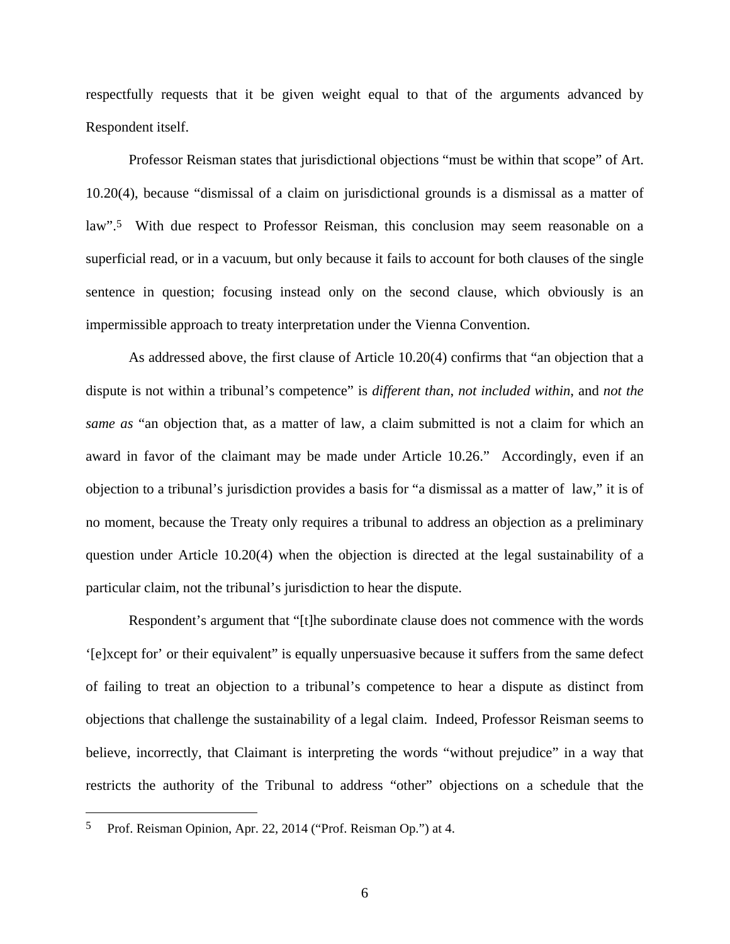respectfully requests that it be given weight equal to that of the arguments advanced by Respondent itself.

Professor Reisman states that jurisdictional objections "must be within that scope" of Art. 10.20(4), because "dismissal of a claim on jurisdictional grounds is a dismissal as a matter of law".5 With due respect to Professor Reisman, this conclusion may seem reasonable on a superficial read, or in a vacuum, but only because it fails to account for both clauses of the single sentence in question; focusing instead only on the second clause, which obviously is an impermissible approach to treaty interpretation under the Vienna Convention.

As addressed above, the first clause of Article 10.20(4) confirms that "an objection that a dispute is not within a tribunal's competence" is *different than*, *not included within*, and *not the same as* "an objection that, as a matter of law, a claim submitted is not a claim for which an award in favor of the claimant may be made under Article 10.26." Accordingly, even if an objection to a tribunal's jurisdiction provides a basis for "a dismissal as a matter of law," it is of no moment, because the Treaty only requires a tribunal to address an objection as a preliminary question under Article 10.20(4) when the objection is directed at the legal sustainability of a particular claim, not the tribunal's jurisdiction to hear the dispute.

Respondent's argument that "[t]he subordinate clause does not commence with the words '[e]xcept for' or their equivalent" is equally unpersuasive because it suffers from the same defect of failing to treat an objection to a tribunal's competence to hear a dispute as distinct from objections that challenge the sustainability of a legal claim. Indeed, Professor Reisman seems to believe, incorrectly, that Claimant is interpreting the words "without prejudice" in a way that restricts the authority of the Tribunal to address "other" objections on a schedule that the

1

<sup>5</sup> Prof. Reisman Opinion, Apr. 22, 2014 ("Prof. Reisman Op.") at 4.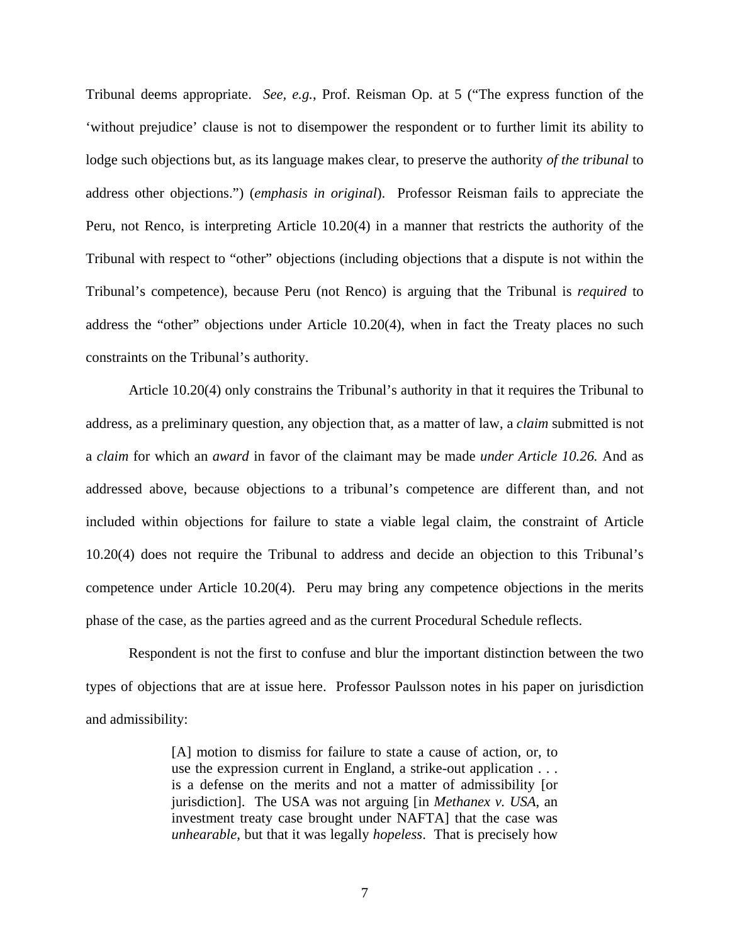Tribunal deems appropriate. *See, e.g.*, Prof. Reisman Op. at 5 ("The express function of the 'without prejudice' clause is not to disempower the respondent or to further limit its ability to lodge such objections but, as its language makes clear, to preserve the authority *of the tribunal* to address other objections.") (*emphasis in original*). Professor Reisman fails to appreciate the Peru, not Renco, is interpreting Article 10.20(4) in a manner that restricts the authority of the Tribunal with respect to "other" objections (including objections that a dispute is not within the Tribunal's competence), because Peru (not Renco) is arguing that the Tribunal is *required* to address the "other" objections under Article 10.20(4), when in fact the Treaty places no such constraints on the Tribunal's authority.

Article 10.20(4) only constrains the Tribunal's authority in that it requires the Tribunal to address, as a preliminary question, any objection that, as a matter of law, a *claim* submitted is not a *claim* for which an *award* in favor of the claimant may be made *under Article 10.26.* And as addressed above, because objections to a tribunal's competence are different than, and not included within objections for failure to state a viable legal claim, the constraint of Article 10.20(4) does not require the Tribunal to address and decide an objection to this Tribunal's competence under Article 10.20(4). Peru may bring any competence objections in the merits phase of the case, as the parties agreed and as the current Procedural Schedule reflects.

Respondent is not the first to confuse and blur the important distinction between the two types of objections that are at issue here. Professor Paulsson notes in his paper on jurisdiction and admissibility:

> [A] motion to dismiss for failure to state a cause of action, or, to use the expression current in England, a strike-out application . . . is a defense on the merits and not a matter of admissibility [or jurisdiction]. The USA was not arguing [in *Methanex v. USA*, an investment treaty case brought under NAFTA] that the case was *unhearable*, but that it was legally *hopeless*. That is precisely how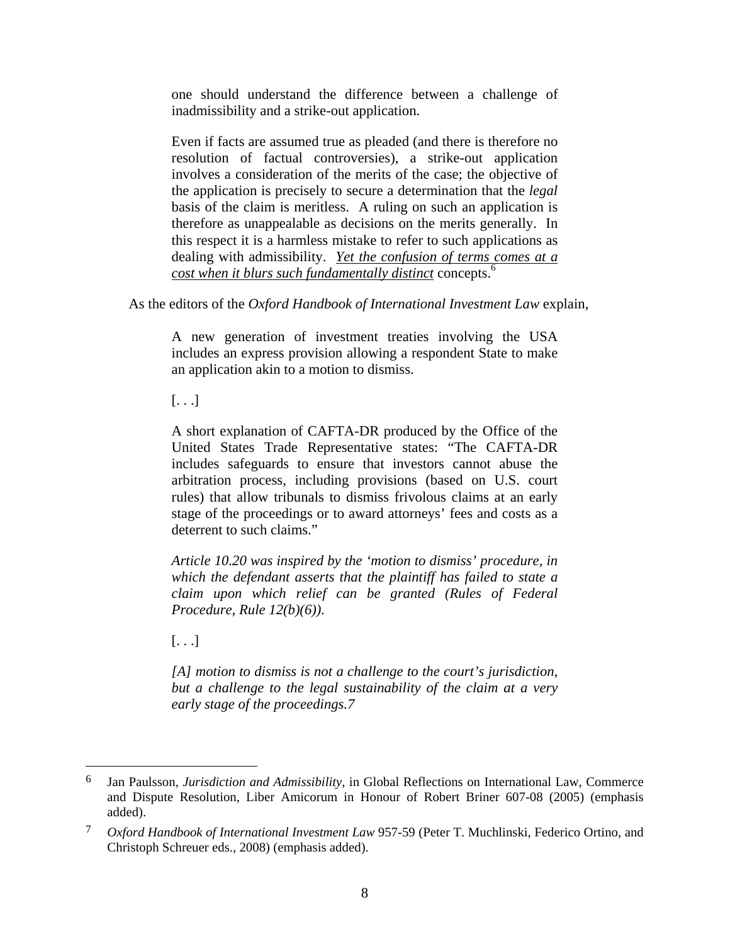one should understand the difference between a challenge of inadmissibility and a strike-out application.

Even if facts are assumed true as pleaded (and there is therefore no resolution of factual controversies), a strike-out application involves a consideration of the merits of the case; the objective of the application is precisely to secure a determination that the *legal* basis of the claim is meritless. A ruling on such an application is therefore as unappealable as decisions on the merits generally. In this respect it is a harmless mistake to refer to such applications as dealing with admissibility. *Yet the confusion of terms comes at a cost when it blurs such fundamentally distinct* concepts.6

As the editors of the *Oxford Handbook of International Investment Law* explain,

A new generation of investment treaties involving the USA includes an express provision allowing a respondent State to make an application akin to a motion to dismiss.

[. . .]

A short explanation of CAFTA-DR produced by the Office of the United States Trade Representative states: "The CAFTA-DR includes safeguards to ensure that investors cannot abuse the arbitration process, including provisions (based on U.S. court rules) that allow tribunals to dismiss frivolous claims at an early stage of the proceedings or to award attorneys' fees and costs as a deterrent to such claims."

*Article 10.20 was inspired by the 'motion to dismiss' procedure, in which the defendant asserts that the plaintiff has failed to state a claim upon which relief can be granted (Rules of Federal Procedure, Rule 12(b)(6)).* 

 $[\ldots]$ 

 $\overline{a}$ 

*[A] motion to dismiss is not a challenge to the court's jurisdiction, but a challenge to the legal sustainability of the claim at a very early stage of the proceedings.7* 

<sup>6</sup> Jan Paulsson, *Jurisdiction and Admissibility*, in Global Reflections on International Law, Commerce and Dispute Resolution, Liber Amicorum in Honour of Robert Briner 607-08 (2005) (emphasis added).

<sup>7</sup> *Oxford Handbook of International Investment Law* 957-59 (Peter T. Muchlinski, Federico Ortino, and Christoph Schreuer eds., 2008) (emphasis added).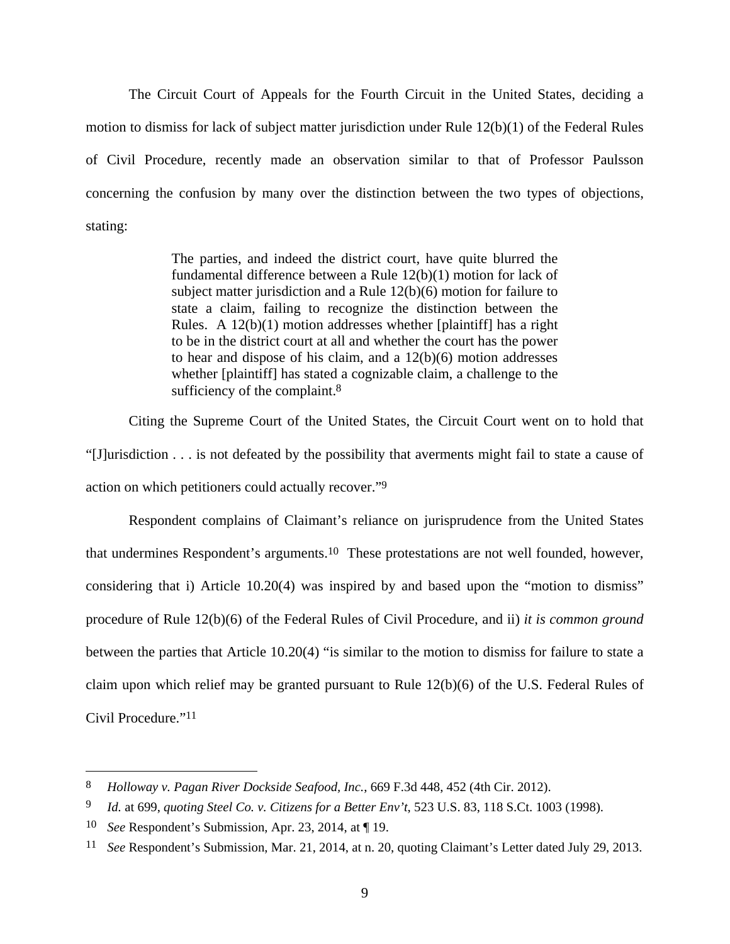The Circuit Court of Appeals for the Fourth Circuit in the United States, deciding a motion to dismiss for lack of subject matter jurisdiction under Rule 12(b)(1) of the Federal Rules of Civil Procedure, recently made an observation similar to that of Professor Paulsson concerning the confusion by many over the distinction between the two types of objections, stating:

> The parties, and indeed the district court, have quite blurred the fundamental difference between a Rule 12(b)(1) motion for lack of subject matter jurisdiction and a Rule 12(b)(6) motion for failure to state a claim, failing to recognize the distinction between the Rules. A 12(b)(1) motion addresses whether [plaintiff] has a right to be in the district court at all and whether the court has the power to hear and dispose of his claim, and a 12(b)(6) motion addresses whether [plaintiff] has stated a cognizable claim, a challenge to the sufficiency of the complaint.<sup>8</sup>

Citing the Supreme Court of the United States, the Circuit Court went on to hold that "[J]urisdiction . . . is not defeated by the possibility that averments might fail to state a cause of action on which petitioners could actually recover."9

Respondent complains of Claimant's reliance on jurisprudence from the United States that undermines Respondent's arguments.10 These protestations are not well founded, however, considering that i) Article 10.20(4) was inspired by and based upon the "motion to dismiss" procedure of Rule 12(b)(6) of the Federal Rules of Civil Procedure, and ii) *it is common ground* between the parties that Article 10.20(4) "is similar to the motion to dismiss for failure to state a claim upon which relief may be granted pursuant to Rule 12(b)(6) of the U.S. Federal Rules of Civil Procedure."11

1

<sup>8</sup> *Holloway v. Pagan River Dockside Seafood, Inc.*, 669 F.3d 448, 452 (4th Cir. 2012).

<sup>9</sup> *Id.* at 699, *quoting Steel Co. v. Citizens for a Better Env't*, 523 U.S. 83, 118 S.Ct. 1003 (1998).

<sup>10</sup> *See* Respondent's Submission, Apr. 23, 2014, at ¶ 19.

<sup>11</sup> *See* Respondent's Submission, Mar. 21, 2014, at n. 20, quoting Claimant's Letter dated July 29, 2013.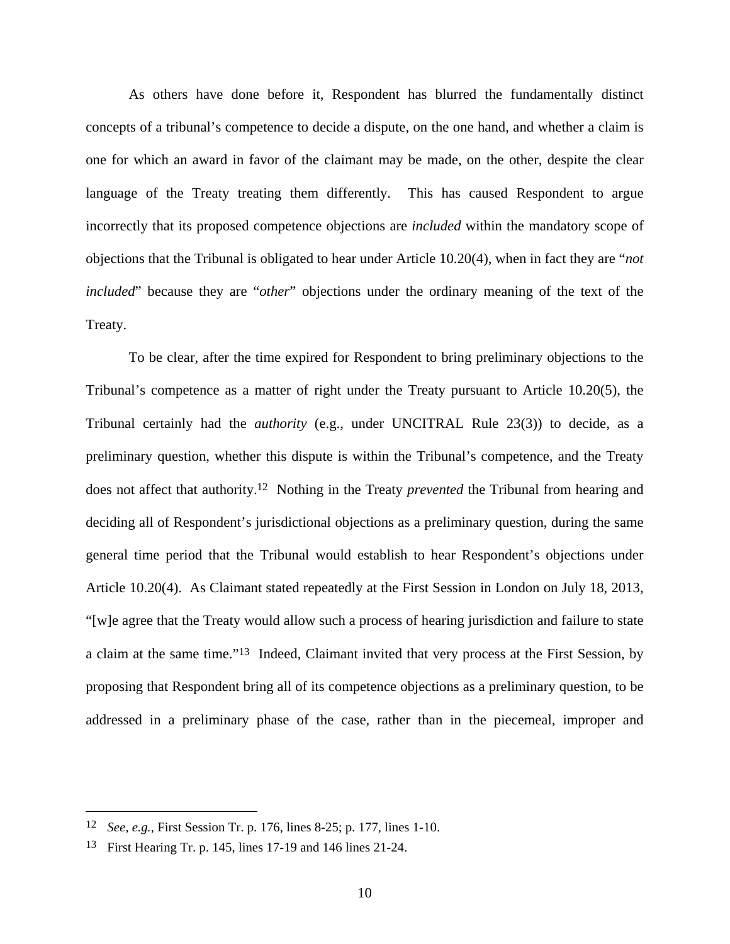As others have done before it, Respondent has blurred the fundamentally distinct concepts of a tribunal's competence to decide a dispute, on the one hand, and whether a claim is one for which an award in favor of the claimant may be made, on the other, despite the clear language of the Treaty treating them differently. This has caused Respondent to argue incorrectly that its proposed competence objections are *included* within the mandatory scope of objections that the Tribunal is obligated to hear under Article 10.20(4), when in fact they are "*not included*" because they are "*other*" objections under the ordinary meaning of the text of the Treaty.

To be clear, after the time expired for Respondent to bring preliminary objections to the Tribunal's competence as a matter of right under the Treaty pursuant to Article 10.20(5), the Tribunal certainly had the *authority* (e.g., under UNCITRAL Rule 23(3)) to decide, as a preliminary question, whether this dispute is within the Tribunal's competence, and the Treaty does not affect that authority.12 Nothing in the Treaty *prevented* the Tribunal from hearing and deciding all of Respondent's jurisdictional objections as a preliminary question, during the same general time period that the Tribunal would establish to hear Respondent's objections under Article 10.20(4). As Claimant stated repeatedly at the First Session in London on July 18, 2013, "[w]e agree that the Treaty would allow such a process of hearing jurisdiction and failure to state a claim at the same time."13 Indeed, Claimant invited that very process at the First Session, by proposing that Respondent bring all of its competence objections as a preliminary question, to be addressed in a preliminary phase of the case, rather than in the piecemeal, improper and

<sup>12</sup> *See, e.g.,* First Session Tr. p. 176, lines 8-25; p. 177, lines 1-10.

<sup>13</sup> First Hearing Tr. p. 145, lines 17-19 and 146 lines 21-24.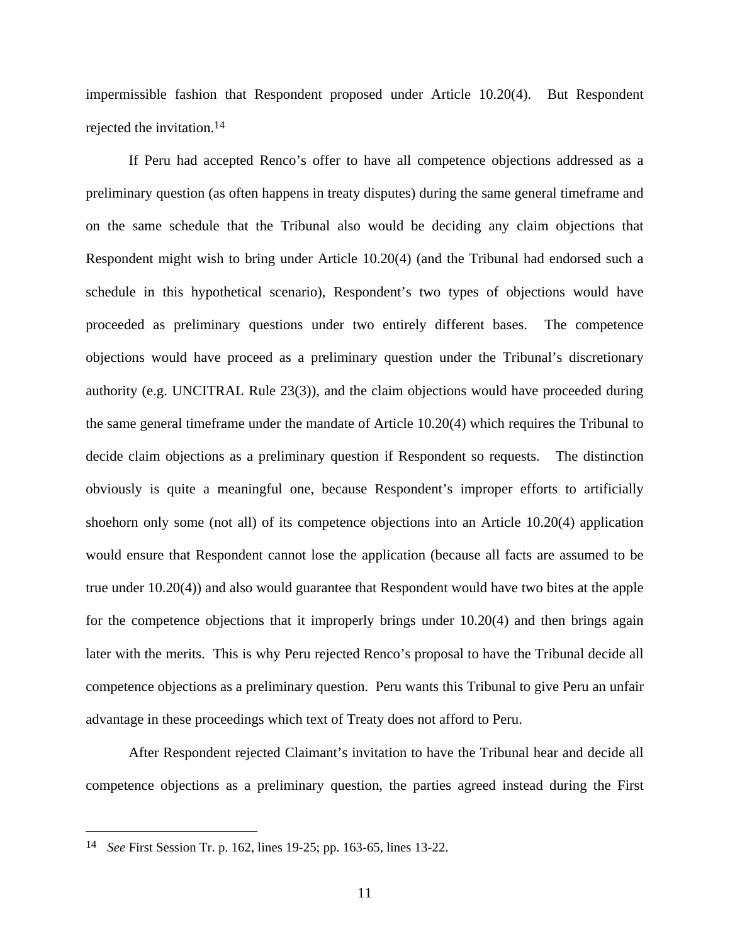impermissible fashion that Respondent proposed under Article 10.20(4). But Respondent rejected the invitation.14

If Peru had accepted Renco's offer to have all competence objections addressed as a preliminary question (as often happens in treaty disputes) during the same general timeframe and on the same schedule that the Tribunal also would be deciding any claim objections that Respondent might wish to bring under Article 10.20(4) (and the Tribunal had endorsed such a schedule in this hypothetical scenario), Respondent's two types of objections would have proceeded as preliminary questions under two entirely different bases. The competence objections would have proceed as a preliminary question under the Tribunal's discretionary authority (e.g. UNCITRAL Rule 23(3)), and the claim objections would have proceeded during the same general timeframe under the mandate of Article 10.20(4) which requires the Tribunal to decide claim objections as a preliminary question if Respondent so requests. The distinction obviously is quite a meaningful one, because Respondent's improper efforts to artificially shoehorn only some (not all) of its competence objections into an Article 10.20(4) application would ensure that Respondent cannot lose the application (because all facts are assumed to be true under 10.20(4)) and also would guarantee that Respondent would have two bites at the apple for the competence objections that it improperly brings under 10.20(4) and then brings again later with the merits. This is why Peru rejected Renco's proposal to have the Tribunal decide all competence objections as a preliminary question. Peru wants this Tribunal to give Peru an unfair advantage in these proceedings which text of Treaty does not afford to Peru.

After Respondent rejected Claimant's invitation to have the Tribunal hear and decide all competence objections as a preliminary question, the parties agreed instead during the First

<sup>14</sup> *See* First Session Tr. p. 162, lines 19-25; pp. 163-65, lines 13-22.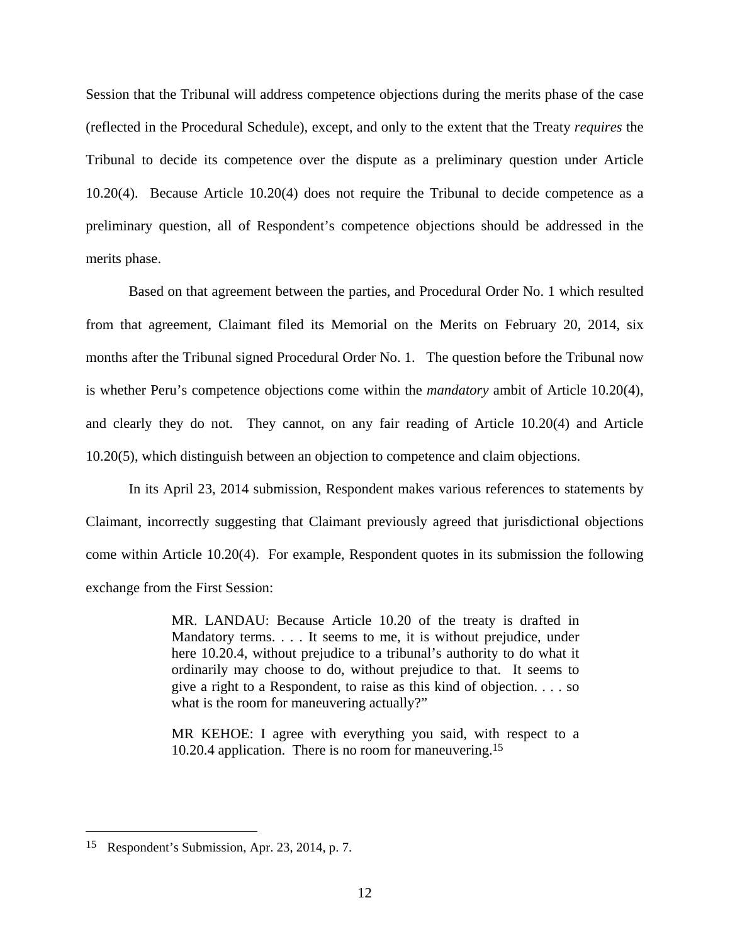Session that the Tribunal will address competence objections during the merits phase of the case (reflected in the Procedural Schedule), except, and only to the extent that the Treaty *requires* the Tribunal to decide its competence over the dispute as a preliminary question under Article 10.20(4). Because Article 10.20(4) does not require the Tribunal to decide competence as a preliminary question, all of Respondent's competence objections should be addressed in the merits phase.

Based on that agreement between the parties, and Procedural Order No. 1 which resulted from that agreement, Claimant filed its Memorial on the Merits on February 20, 2014, six months after the Tribunal signed Procedural Order No. 1. The question before the Tribunal now is whether Peru's competence objections come within the *mandatory* ambit of Article 10.20(4), and clearly they do not. They cannot, on any fair reading of Article 10.20(4) and Article 10.20(5), which distinguish between an objection to competence and claim objections.

In its April 23, 2014 submission, Respondent makes various references to statements by Claimant, incorrectly suggesting that Claimant previously agreed that jurisdictional objections come within Article 10.20(4). For example, Respondent quotes in its submission the following exchange from the First Session:

> MR. LANDAU: Because Article 10.20 of the treaty is drafted in Mandatory terms. . . . It seems to me, it is without prejudice, under here 10.20.4, without prejudice to a tribunal's authority to do what it ordinarily may choose to do, without prejudice to that. It seems to give a right to a Respondent, to raise as this kind of objection. . . . so what is the room for maneuvering actually?"

> MR KEHOE: I agree with everything you said, with respect to a 10.20.4 application. There is no room for maneuvering.15

<sup>15</sup> Respondent's Submission, Apr. 23, 2014, p. 7.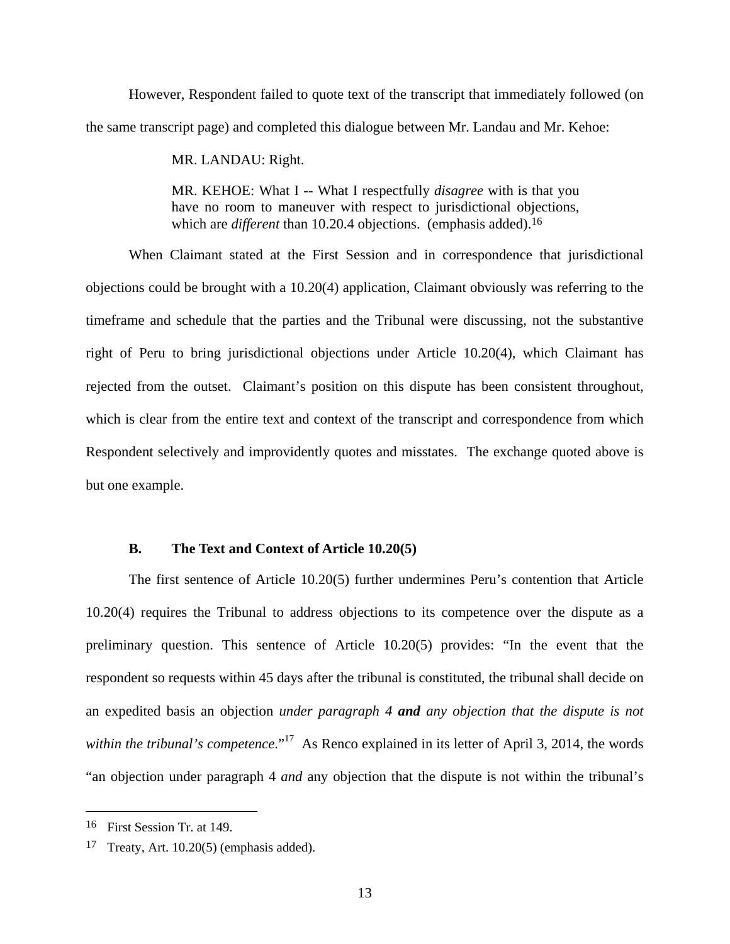However, Respondent failed to quote text of the transcript that immediately followed (on the same transcript page) and completed this dialogue between Mr. Landau and Mr. Kehoe:

MR. LANDAU: Right.

MR. KEHOE: What I -- What I respectfully *disagree* with is that you have no room to maneuver with respect to jurisdictional objections, which are *different* than 10.20.4 objections. (emphasis added).<sup>16</sup>

When Claimant stated at the First Session and in correspondence that jurisdictional objections could be brought with a 10.20(4) application, Claimant obviously was referring to the timeframe and schedule that the parties and the Tribunal were discussing, not the substantive right of Peru to bring jurisdictional objections under Article 10.20(4), which Claimant has rejected from the outset. Claimant's position on this dispute has been consistent throughout, which is clear from the entire text and context of the transcript and correspondence from which Respondent selectively and improvidently quotes and misstates. The exchange quoted above is but one example.

#### **B. The Text and Context of Article 10.20(5)**

The first sentence of Article 10.20(5) further undermines Peru's contention that Article 10.20(4) requires the Tribunal to address objections to its competence over the dispute as a preliminary question. This sentence of Article 10.20(5) provides: "In the event that the respondent so requests within 45 days after the tribunal is constituted, the tribunal shall decide on an expedited basis an objection *under paragraph 4 and any objection that the dispute is not within the tribunal's competence*."<sup>17</sup> As Renco explained in its letter of April 3, 2014, the words "an objection under paragraph 4 *and* any objection that the dispute is not within the tribunal's

<sup>16</sup> First Session Tr. at 149.

<sup>&</sup>lt;sup>17</sup> Treaty, Art. 10.20(5) (emphasis added).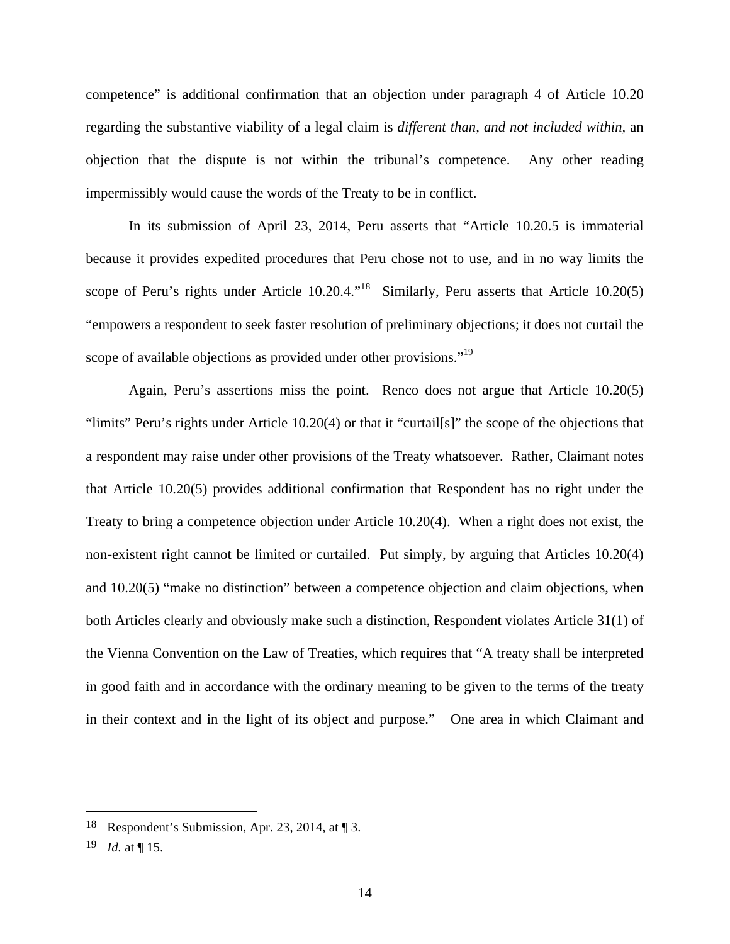competence" is additional confirmation that an objection under paragraph 4 of Article 10.20 regarding the substantive viability of a legal claim is *different than, and not included within,* an objection that the dispute is not within the tribunal's competence. Any other reading impermissibly would cause the words of the Treaty to be in conflict.

In its submission of April 23, 2014, Peru asserts that "Article 10.20.5 is immaterial because it provides expedited procedures that Peru chose not to use, and in no way limits the scope of Peru's rights under Article  $10.20.4$ .<sup>18</sup> Similarly, Peru asserts that Article 10.20(5) "empowers a respondent to seek faster resolution of preliminary objections; it does not curtail the scope of available objections as provided under other provisions."<sup>19</sup>

Again, Peru's assertions miss the point. Renco does not argue that Article 10.20(5) "limits" Peru's rights under Article 10.20(4) or that it "curtail[s]" the scope of the objections that a respondent may raise under other provisions of the Treaty whatsoever. Rather, Claimant notes that Article 10.20(5) provides additional confirmation that Respondent has no right under the Treaty to bring a competence objection under Article 10.20(4). When a right does not exist, the non-existent right cannot be limited or curtailed. Put simply, by arguing that Articles 10.20(4) and 10.20(5) "make no distinction" between a competence objection and claim objections, when both Articles clearly and obviously make such a distinction, Respondent violates Article 31(1) of the Vienna Convention on the Law of Treaties, which requires that "A treaty shall be interpreted in good faith and in accordance with the ordinary meaning to be given to the terms of the treaty in their context and in the light of its object and purpose." One area in which Claimant and

<sup>18</sup> Respondent's Submission, Apr. 23, 2014, at ¶ 3.

<sup>19</sup> *Id.* at ¶ 15.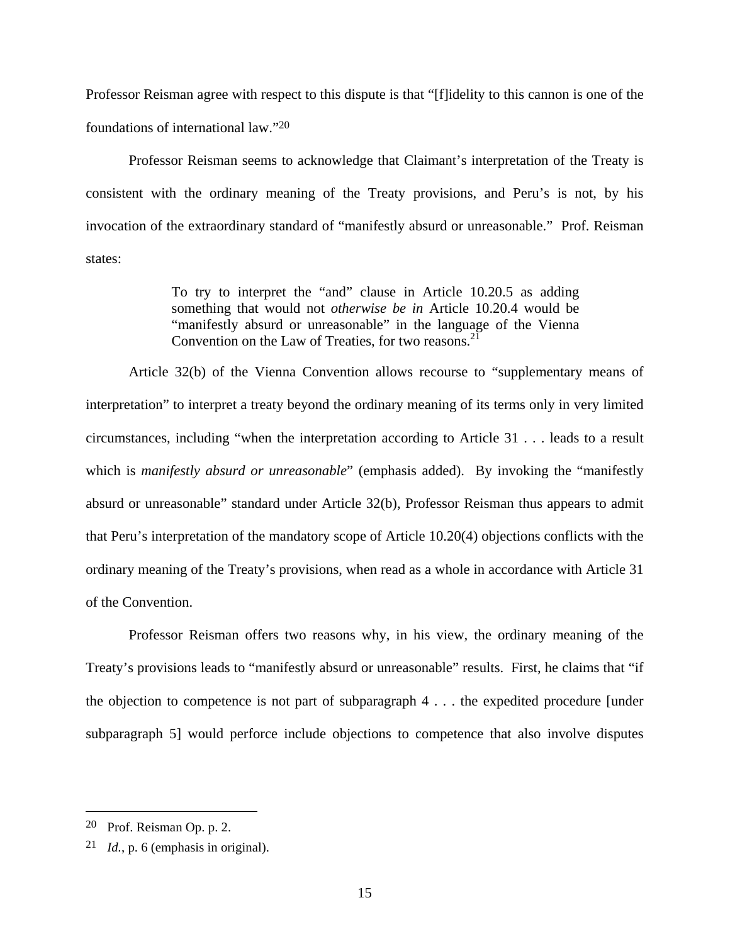Professor Reisman agree with respect to this dispute is that "[f]idelity to this cannon is one of the foundations of international law."20

Professor Reisman seems to acknowledge that Claimant's interpretation of the Treaty is consistent with the ordinary meaning of the Treaty provisions, and Peru's is not, by his invocation of the extraordinary standard of "manifestly absurd or unreasonable." Prof. Reisman states:

> To try to interpret the "and" clause in Article 10.20.5 as adding something that would not *otherwise be in* Article 10.20.4 would be "manifestly absurd or unreasonable" in the language of the Vienna Convention on the Law of Treaties, for two reasons. $^{21}$

Article 32(b) of the Vienna Convention allows recourse to "supplementary means of interpretation" to interpret a treaty beyond the ordinary meaning of its terms only in very limited circumstances, including "when the interpretation according to Article 31 . . . leads to a result which is *manifestly absurd or unreasonable*" (emphasis added). By invoking the "manifestly absurd or unreasonable" standard under Article 32(b), Professor Reisman thus appears to admit that Peru's interpretation of the mandatory scope of Article 10.20(4) objections conflicts with the ordinary meaning of the Treaty's provisions, when read as a whole in accordance with Article 31 of the Convention.

Professor Reisman offers two reasons why, in his view, the ordinary meaning of the Treaty's provisions leads to "manifestly absurd or unreasonable" results. First, he claims that "if the objection to competence is not part of subparagraph 4 . . . the expedited procedure [under subparagraph 5] would perforce include objections to competence that also involve disputes

<sup>20</sup> Prof. Reisman Op. p. 2.

<sup>21</sup> *Id.*, p. 6 (emphasis in original).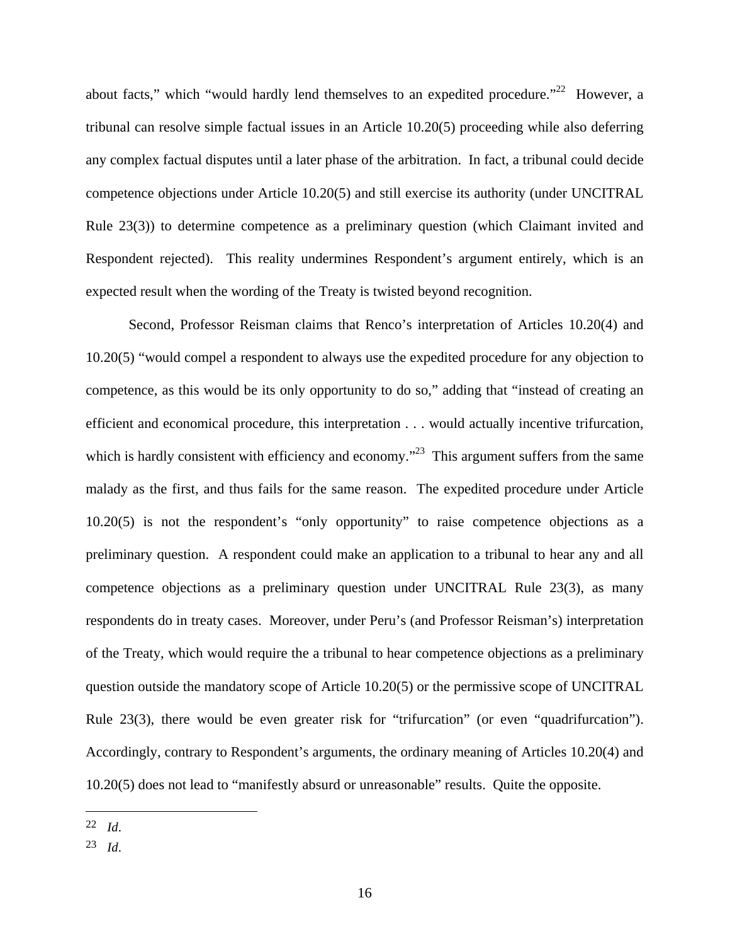about facts," which "would hardly lend themselves to an expedited procedure."<sup>22</sup> However, a tribunal can resolve simple factual issues in an Article 10.20(5) proceeding while also deferring any complex factual disputes until a later phase of the arbitration. In fact, a tribunal could decide competence objections under Article 10.20(5) and still exercise its authority (under UNCITRAL Rule 23(3)) to determine competence as a preliminary question (which Claimant invited and Respondent rejected). This reality undermines Respondent's argument entirely, which is an expected result when the wording of the Treaty is twisted beyond recognition.

Second, Professor Reisman claims that Renco's interpretation of Articles 10.20(4) and 10.20(5) "would compel a respondent to always use the expedited procedure for any objection to competence, as this would be its only opportunity to do so," adding that "instead of creating an efficient and economical procedure, this interpretation . . . would actually incentive trifurcation, which is hardly consistent with efficiency and economy.<sup>23</sup> This argument suffers from the same malady as the first, and thus fails for the same reason. The expedited procedure under Article 10.20(5) is not the respondent's "only opportunity" to raise competence objections as a preliminary question. A respondent could make an application to a tribunal to hear any and all competence objections as a preliminary question under UNCITRAL Rule 23(3), as many respondents do in treaty cases. Moreover, under Peru's (and Professor Reisman's) interpretation of the Treaty, which would require the a tribunal to hear competence objections as a preliminary question outside the mandatory scope of Article 10.20(5) or the permissive scope of UNCITRAL Rule 23(3), there would be even greater risk for "trifurcation" (or even "quadrifurcation"). Accordingly, contrary to Respondent's arguments, the ordinary meaning of Articles 10.20(4) and 10.20(5) does not lead to "manifestly absurd or unreasonable" results. Quite the opposite.

<sup>22</sup> *Id*.

<sup>23</sup> *Id*.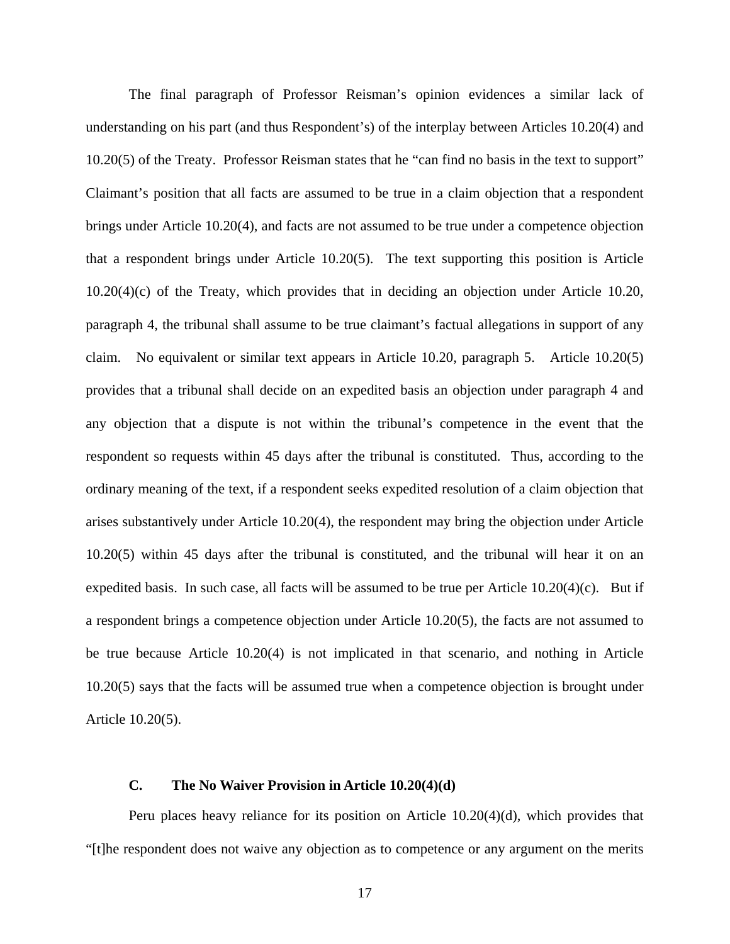The final paragraph of Professor Reisman's opinion evidences a similar lack of understanding on his part (and thus Respondent's) of the interplay between Articles 10.20(4) and 10.20(5) of the Treaty. Professor Reisman states that he "can find no basis in the text to support" Claimant's position that all facts are assumed to be true in a claim objection that a respondent brings under Article 10.20(4), and facts are not assumed to be true under a competence objection that a respondent brings under Article 10.20(5). The text supporting this position is Article 10.20(4)(c) of the Treaty, which provides that in deciding an objection under Article 10.20, paragraph 4, the tribunal shall assume to be true claimant's factual allegations in support of any claim. No equivalent or similar text appears in Article 10.20, paragraph 5. Article 10.20(5) provides that a tribunal shall decide on an expedited basis an objection under paragraph 4 and any objection that a dispute is not within the tribunal's competence in the event that the respondent so requests within 45 days after the tribunal is constituted. Thus, according to the ordinary meaning of the text, if a respondent seeks expedited resolution of a claim objection that arises substantively under Article 10.20(4), the respondent may bring the objection under Article 10.20(5) within 45 days after the tribunal is constituted, and the tribunal will hear it on an expedited basis. In such case, all facts will be assumed to be true per Article  $10.20(4)(c)$ . But if a respondent brings a competence objection under Article 10.20(5), the facts are not assumed to be true because Article 10.20(4) is not implicated in that scenario, and nothing in Article 10.20(5) says that the facts will be assumed true when a competence objection is brought under Article 10.20(5).

#### **C. The No Waiver Provision in Article 10.20(4)(d)**

Peru places heavy reliance for its position on Article 10.20(4)(d), which provides that "[t]he respondent does not waive any objection as to competence or any argument on the merits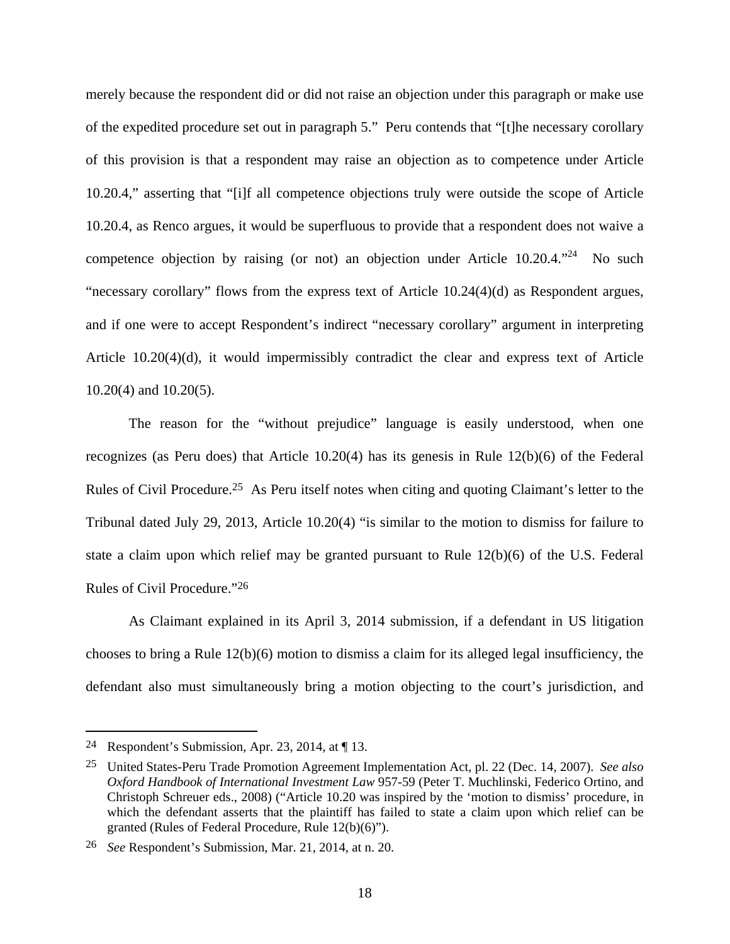merely because the respondent did or did not raise an objection under this paragraph or make use of the expedited procedure set out in paragraph 5." Peru contends that "[t]he necessary corollary of this provision is that a respondent may raise an objection as to competence under Article 10.20.4," asserting that "[i]f all competence objections truly were outside the scope of Article 10.20.4, as Renco argues, it would be superfluous to provide that a respondent does not waive a competence objection by raising (or not) an objection under Article  $10.20.4$ .<sup>24</sup> No such "necessary corollary" flows from the express text of Article 10.24(4)(d) as Respondent argues, and if one were to accept Respondent's indirect "necessary corollary" argument in interpreting Article 10.20(4)(d), it would impermissibly contradict the clear and express text of Article 10.20(4) and 10.20(5).

The reason for the "without prejudice" language is easily understood, when one recognizes (as Peru does) that Article 10.20(4) has its genesis in Rule 12(b)(6) of the Federal Rules of Civil Procedure.25 As Peru itself notes when citing and quoting Claimant's letter to the Tribunal dated July 29, 2013, Article 10.20(4) "is similar to the motion to dismiss for failure to state a claim upon which relief may be granted pursuant to Rule 12(b)(6) of the U.S. Federal Rules of Civil Procedure."26

As Claimant explained in its April 3, 2014 submission, if a defendant in US litigation chooses to bring a Rule 12(b)(6) motion to dismiss a claim for its alleged legal insufficiency, the defendant also must simultaneously bring a motion objecting to the court's jurisdiction, and

<sup>&</sup>lt;sup>24</sup> Respondent's Submission, Apr. 23, 2014, at  $\P$  13.

<sup>25</sup> United States-Peru Trade Promotion Agreement Implementation Act, pl. 22 (Dec. 14, 2007). *See also Oxford Handbook of International Investment Law* 957-59 (Peter T. Muchlinski, Federico Ortino, and Christoph Schreuer eds., 2008) ("Article 10.20 was inspired by the 'motion to dismiss' procedure, in which the defendant asserts that the plaintiff has failed to state a claim upon which relief can be granted (Rules of Federal Procedure, Rule 12(b)(6)").

<sup>26</sup> *See* Respondent's Submission, Mar. 21, 2014, at n. 20.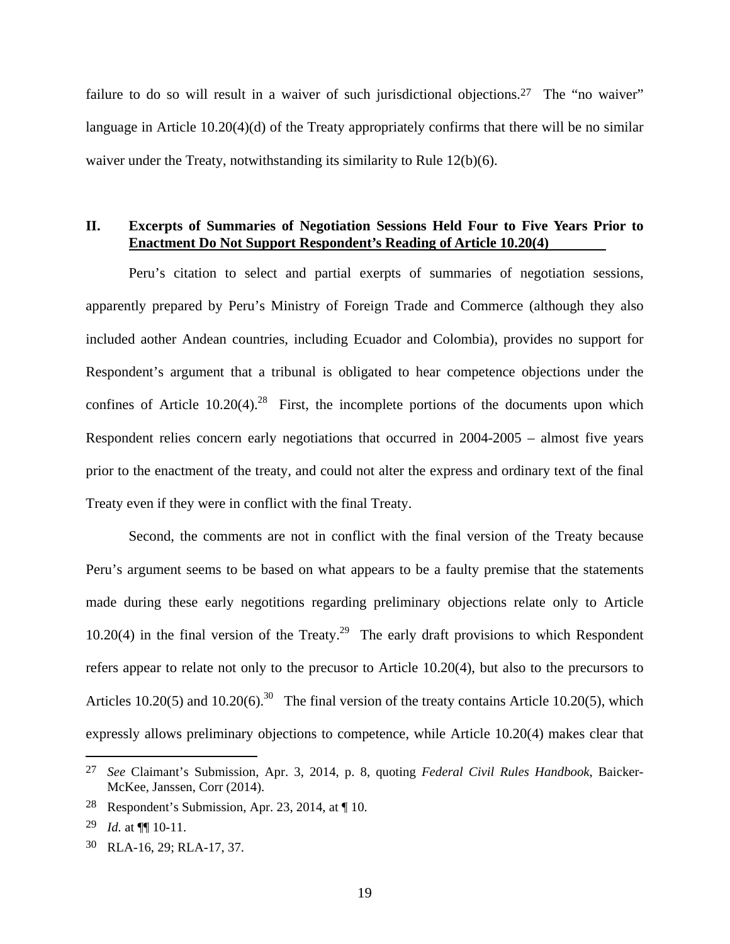failure to do so will result in a waiver of such jurisdictional objections.<sup>27</sup> The "no waiver" language in Article 10.20(4)(d) of the Treaty appropriately confirms that there will be no similar waiver under the Treaty, notwithstanding its similarity to Rule 12(b)(6).

# **II. Excerpts of Summaries of Negotiation Sessions Held Four to Five Years Prior to Enactment Do Not Support Respondent's Reading of Article 10.20(4)**

Peru's citation to select and partial exerpts of summaries of negotiation sessions, apparently prepared by Peru's Ministry of Foreign Trade and Commerce (although they also included aother Andean countries, including Ecuador and Colombia), provides no support for Respondent's argument that a tribunal is obligated to hear competence objections under the confines of Article  $10.20(4)$ <sup>28</sup> First, the incomplete portions of the documents upon which Respondent relies concern early negotiations that occurred in 2004-2005 – almost five years prior to the enactment of the treaty, and could not alter the express and ordinary text of the final Treaty even if they were in conflict with the final Treaty.

Second, the comments are not in conflict with the final version of the Treaty because Peru's argument seems to be based on what appears to be a faulty premise that the statements made during these early negotitions regarding preliminary objections relate only to Article 10.20(4) in the final version of the Treaty.<sup>29</sup> The early draft provisions to which Respondent refers appear to relate not only to the precusor to Article 10.20(4), but also to the precursors to Articles 10.20(5) and 10.20(6).<sup>30</sup> The final version of the treaty contains Article 10.20(5), which expressly allows preliminary objections to competence, while Article 10.20(4) makes clear that

<u>.</u>

<sup>27</sup> *See* Claimant's Submission, Apr. 3, 2014, p. 8, quoting *Federal Civil Rules Handbook*, Baicker-McKee, Janssen, Corr (2014).

<sup>&</sup>lt;sup>28</sup> Respondent's Submission, Apr. 23, 2014, at  $\P$  10.

<sup>29</sup> *Id.* at ¶¶ 10-11.

<sup>30</sup> RLA-16, 29; RLA-17, 37.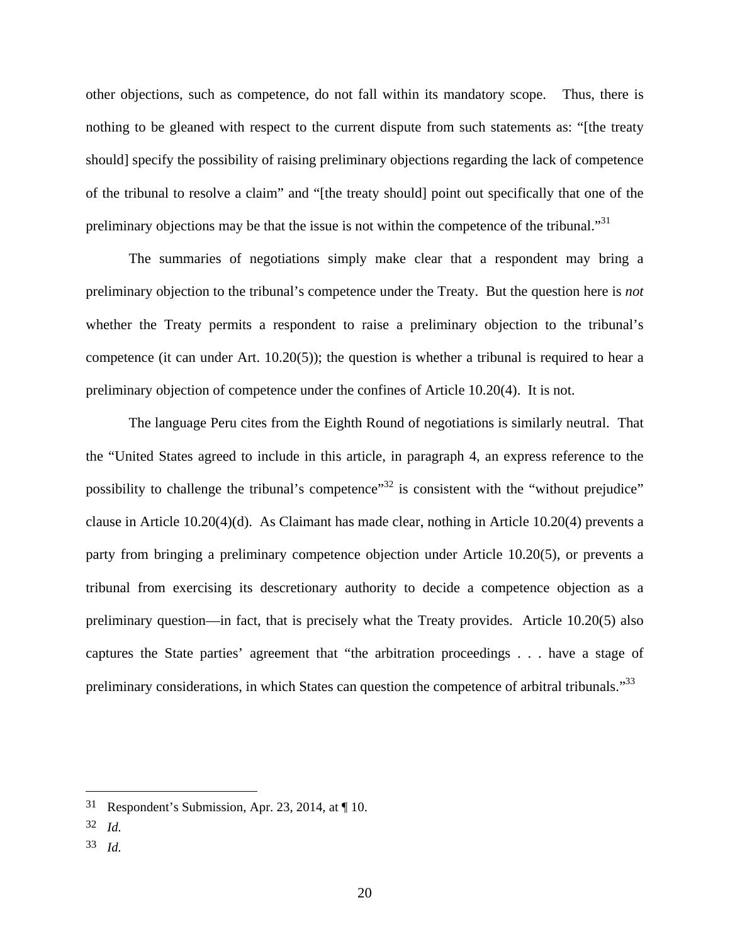other objections, such as competence, do not fall within its mandatory scope. Thus, there is nothing to be gleaned with respect to the current dispute from such statements as: "[the treaty should] specify the possibility of raising preliminary objections regarding the lack of competence of the tribunal to resolve a claim" and "[the treaty should] point out specifically that one of the preliminary objections may be that the issue is not within the competence of the tribunal."<sup>31</sup>

The summaries of negotiations simply make clear that a respondent may bring a preliminary objection to the tribunal's competence under the Treaty. But the question here is *not* whether the Treaty permits a respondent to raise a preliminary objection to the tribunal's competence (it can under Art. 10.20(5)); the question is whether a tribunal is required to hear a preliminary objection of competence under the confines of Article 10.20(4). It is not.

The language Peru cites from the Eighth Round of negotiations is similarly neutral. That the "United States agreed to include in this article, in paragraph 4, an express reference to the possibility to challenge the tribunal's competence"<sup>32</sup> is consistent with the "without prejudice" clause in Article 10.20(4)(d). As Claimant has made clear, nothing in Article 10.20(4) prevents a party from bringing a preliminary competence objection under Article 10.20(5), or prevents a tribunal from exercising its descretionary authority to decide a competence objection as a preliminary question—in fact, that is precisely what the Treaty provides. Article 10.20(5) also captures the State parties' agreement that "the arbitration proceedings . . . have a stage of preliminary considerations, in which States can question the competence of arbitral tribunals."<sup>33</sup>

1

33 *Id.*

<sup>31</sup> Respondent's Submission, Apr. 23, 2014, at ¶ 10.

<sup>32</sup> *Id.*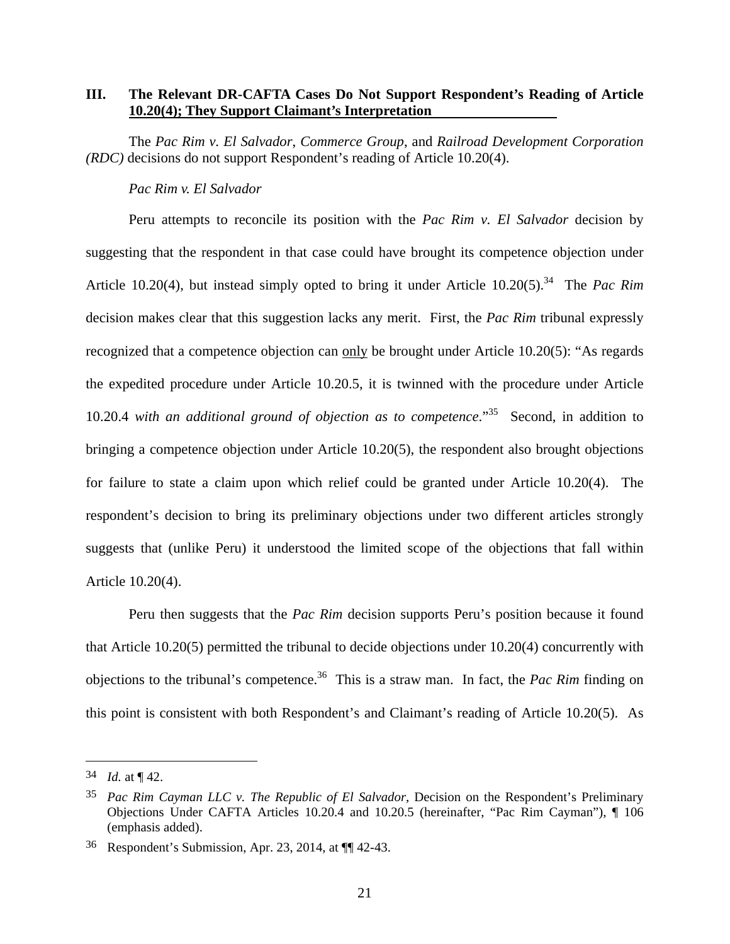## **III. The Relevant DR-CAFTA Cases Do Not Support Respondent's Reading of Article 10.20(4); They Support Claimant's Interpretation**

The *Pac Rim v. El Salvador*, *Commerce Group*, and *Railroad Development Corporation (RDC)* decisions do not support Respondent's reading of Article 10.20(4).

#### *Pac Rim v. El Salvador*

Peru attempts to reconcile its position with the *Pac Rim v. El Salvador* decision by suggesting that the respondent in that case could have brought its competence objection under Article 10.20(4), but instead simply opted to bring it under Article 10.20(5).<sup>34</sup> The *Pac Rim* decision makes clear that this suggestion lacks any merit. First, the *Pac Rim* tribunal expressly recognized that a competence objection can only be brought under Article 10.20(5): "As regards the expedited procedure under Article 10.20.5, it is twinned with the procedure under Article 10.20.4 *with an additional ground of objection as to competence*."35 Second, in addition to bringing a competence objection under Article 10.20(5), the respondent also brought objections for failure to state a claim upon which relief could be granted under Article 10.20(4). The respondent's decision to bring its preliminary objections under two different articles strongly suggests that (unlike Peru) it understood the limited scope of the objections that fall within Article 10.20(4).

Peru then suggests that the *Pac Rim* decision supports Peru's position because it found that Article 10.20(5) permitted the tribunal to decide objections under 10.20(4) concurrently with objections to the tribunal's competence.<sup>36</sup> This is a straw man. In fact, the *Pac Rim* finding on this point is consistent with both Respondent's and Claimant's reading of Article 10.20(5). As

<sup>34</sup> *Id.* at ¶ 42.

<sup>35</sup> *Pac Rim Cayman LLC v. The Republic of El Salvador*, Decision on the Respondent's Preliminary Objections Under CAFTA Articles 10.20.4 and 10.20.5 (hereinafter, "Pac Rim Cayman"), ¶ 106 (emphasis added).

<sup>36</sup> Respondent's Submission, Apr. 23, 2014, at ¶¶ 42-43.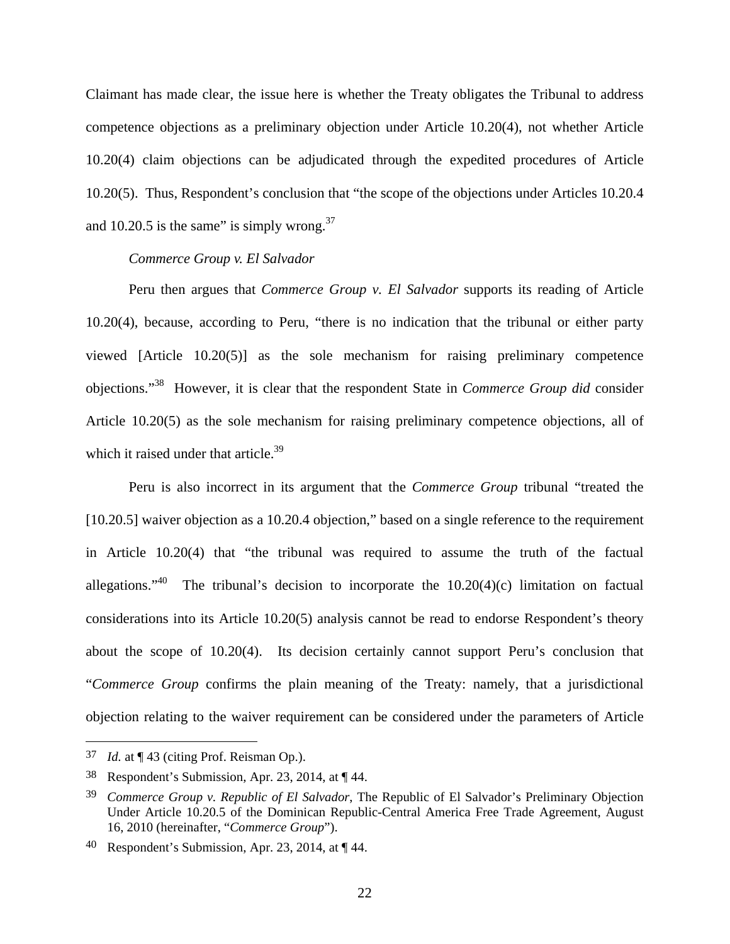Claimant has made clear, the issue here is whether the Treaty obligates the Tribunal to address competence objections as a preliminary objection under Article 10.20(4), not whether Article 10.20(4) claim objections can be adjudicated through the expedited procedures of Article 10.20(5). Thus, Respondent's conclusion that "the scope of the objections under Articles 10.20.4 and 10.20.5 is the same" is simply wrong. $37$ 

#### *Commerce Group v. El Salvador*

Peru then argues that *Commerce Group v. El Salvador* supports its reading of Article 10.20(4), because, according to Peru, "there is no indication that the tribunal or either party viewed [Article 10.20(5)] as the sole mechanism for raising preliminary competence objections."38 However, it is clear that the respondent State in *Commerce Group did* consider Article 10.20(5) as the sole mechanism for raising preliminary competence objections, all of which it raised under that article. $39$ 

Peru is also incorrect in its argument that the *Commerce Group* tribunal "treated the [10.20.5] waiver objection as a 10.20.4 objection," based on a single reference to the requirement in Article 10.20(4) that "the tribunal was required to assume the truth of the factual allegations."<sup>40</sup> The tribunal's decision to incorporate the  $10.20(4)(c)$  limitation on factual considerations into its Article 10.20(5) analysis cannot be read to endorse Respondent's theory about the scope of 10.20(4). Its decision certainly cannot support Peru's conclusion that "*Commerce Group* confirms the plain meaning of the Treaty: namely, that a jurisdictional objection relating to the waiver requirement can be considered under the parameters of Article

<sup>37</sup> *Id.* at ¶ 43 (citing Prof. Reisman Op.).

<sup>38</sup> Respondent's Submission, Apr. 23, 2014, at ¶ 44.

<sup>39</sup> *Commerce Group v. Republic of El Salvador*, The Republic of El Salvador's Preliminary Objection Under Article 10.20.5 of the Dominican Republic-Central America Free Trade Agreement, August 16, 2010 (hereinafter, "*Commerce Group*").

<sup>40</sup> Respondent's Submission, Apr. 23, 2014, at  $\P$  44.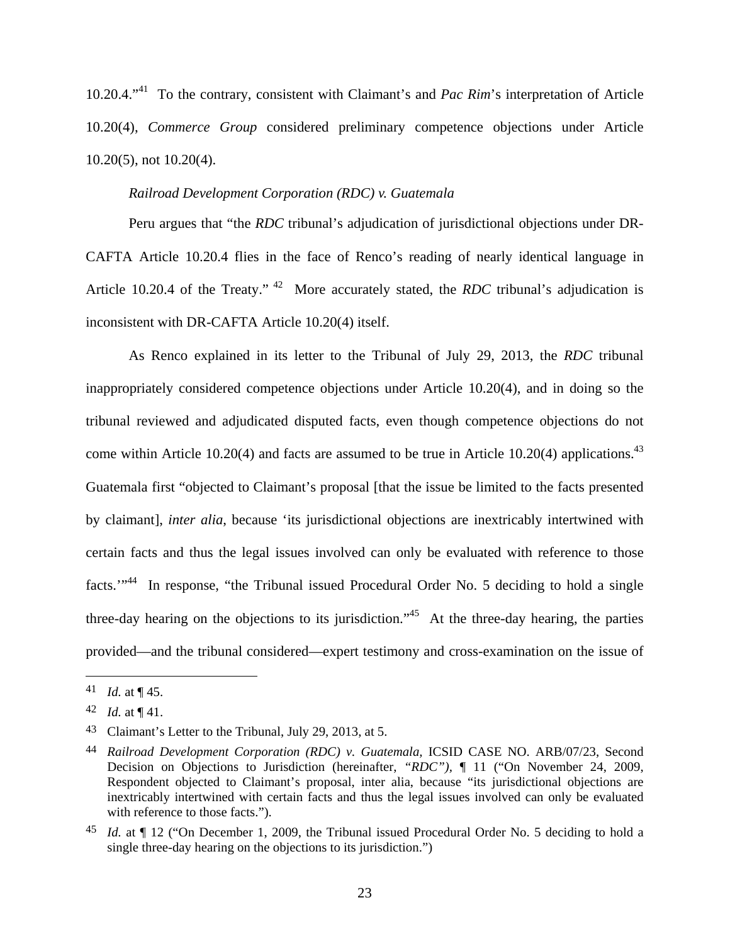10.20.4."41 To the contrary, consistent with Claimant's and *Pac Rim*'s interpretation of Article 10.20(4), *Commerce Group* considered preliminary competence objections under Article 10.20(5), not 10.20(4).

# *Railroad Development Corporation (RDC) v. Guatemala*

Peru argues that "the *RDC* tribunal's adjudication of jurisdictional objections under DR-CAFTA Article 10.20.4 flies in the face of Renco's reading of nearly identical language in Article 10.20.4 of the Treaty." 42 More accurately stated, the *RDC* tribunal's adjudication is inconsistent with DR-CAFTA Article 10.20(4) itself.

As Renco explained in its letter to the Tribunal of July 29, 2013, the *RDC* tribunal inappropriately considered competence objections under Article 10.20(4), and in doing so the tribunal reviewed and adjudicated disputed facts, even though competence objections do not come within Article 10.20(4) and facts are assumed to be true in Article 10.20(4) applications.<sup>43</sup> Guatemala first "objected to Claimant's proposal [that the issue be limited to the facts presented by claimant], *inter alia*, because 'its jurisdictional objections are inextricably intertwined with certain facts and thus the legal issues involved can only be evaluated with reference to those facts.'"44 In response, "the Tribunal issued Procedural Order No. 5 deciding to hold a single three-day hearing on the objections to its jurisdiction.<sup> $,45$ </sup> At the three-day hearing, the parties provided—and the tribunal considered—expert testimony and cross-examination on the issue of

<sup>41</sup> *Id.* at  $\P$  45.

<sup>42</sup> *Id.* at  $\P$  41.

<sup>43</sup> Claimant's Letter to the Tribunal, July 29, 2013, at 5.

<sup>44</sup> *Railroad Development Corporation (RDC) v. Guatemala,* ICSID CASE NO. ARB/07/23, Second Decision on Objections to Jurisdiction (hereinafter, *"RDC"),* ¶ 11 ("On November 24, 2009, Respondent objected to Claimant's proposal, inter alia, because "its jurisdictional objections are inextricably intertwined with certain facts and thus the legal issues involved can only be evaluated with reference to those facts.").

<sup>45</sup> *Id.* at ¶ 12 ("On December 1, 2009, the Tribunal issued Procedural Order No. 5 deciding to hold a single three-day hearing on the objections to its jurisdiction.")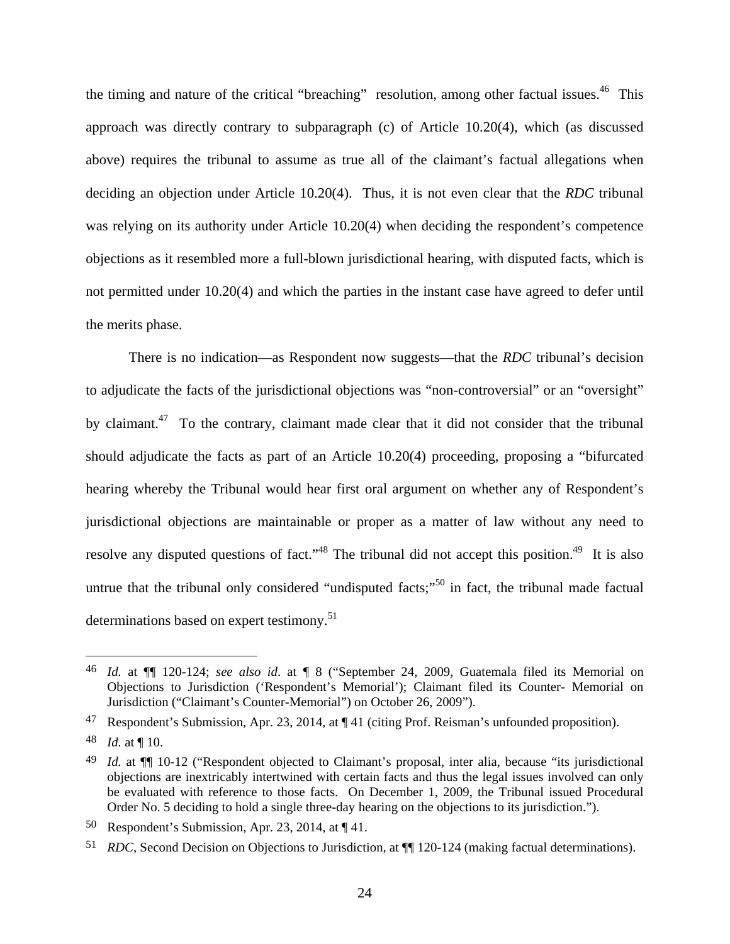the timing and nature of the critical "breaching" resolution, among other factual issues.<sup>46</sup> This approach was directly contrary to subparagraph (c) of Article 10.20(4), which (as discussed above) requires the tribunal to assume as true all of the claimant's factual allegations when deciding an objection under Article 10.20(4). Thus, it is not even clear that the *RDC* tribunal was relying on its authority under Article 10.20(4) when deciding the respondent's competence objections as it resembled more a full-blown jurisdictional hearing, with disputed facts, which is not permitted under 10.20(4) and which the parties in the instant case have agreed to defer until the merits phase.

There is no indication—as Respondent now suggests—that the *RDC* tribunal's decision to adjudicate the facts of the jurisdictional objections was "non-controversial" or an "oversight" by claimant.<sup>47</sup> To the contrary, claimant made clear that it did not consider that the tribunal should adjudicate the facts as part of an Article 10.20(4) proceeding, proposing a "bifurcated hearing whereby the Tribunal would hear first oral argument on whether any of Respondent's jurisdictional objections are maintainable or proper as a matter of law without any need to resolve any disputed questions of fact."<sup>48</sup> The tribunal did not accept this position.<sup>49</sup> It is also untrue that the tribunal only considered "undisputed facts;"<sup>50</sup> in fact, the tribunal made factual determinations based on expert testimony.<sup>51</sup>

<sup>46</sup> *Id.* at ¶¶ 120-124; *see also id*. at ¶ 8 ("September 24, 2009, Guatemala filed its Memorial on Objections to Jurisdiction ('Respondent's Memorial'); Claimant filed its Counter- Memorial on Jurisdiction ("Claimant's Counter-Memorial") on October 26, 2009").

<sup>47</sup> Respondent's Submission, Apr. 23, 2014, at ¶ 41 (citing Prof. Reisman's unfounded proposition).

<sup>48</sup> *Id.* at ¶ 10.

<sup>49</sup> *Id.* at ¶¶ 10-12 ("Respondent objected to Claimant's proposal, inter alia, because "its jurisdictional objections are inextricably intertwined with certain facts and thus the legal issues involved can only be evaluated with reference to those facts. On December 1, 2009, the Tribunal issued Procedural Order No. 5 deciding to hold a single three-day hearing on the objections to its jurisdiction.").

Respondent's Submission, Apr. 23, 2014, at  $\P$  41.

<sup>51</sup> *RDC*, Second Decision on Objections to Jurisdiction, at ¶¶ 120-124 (making factual determinations).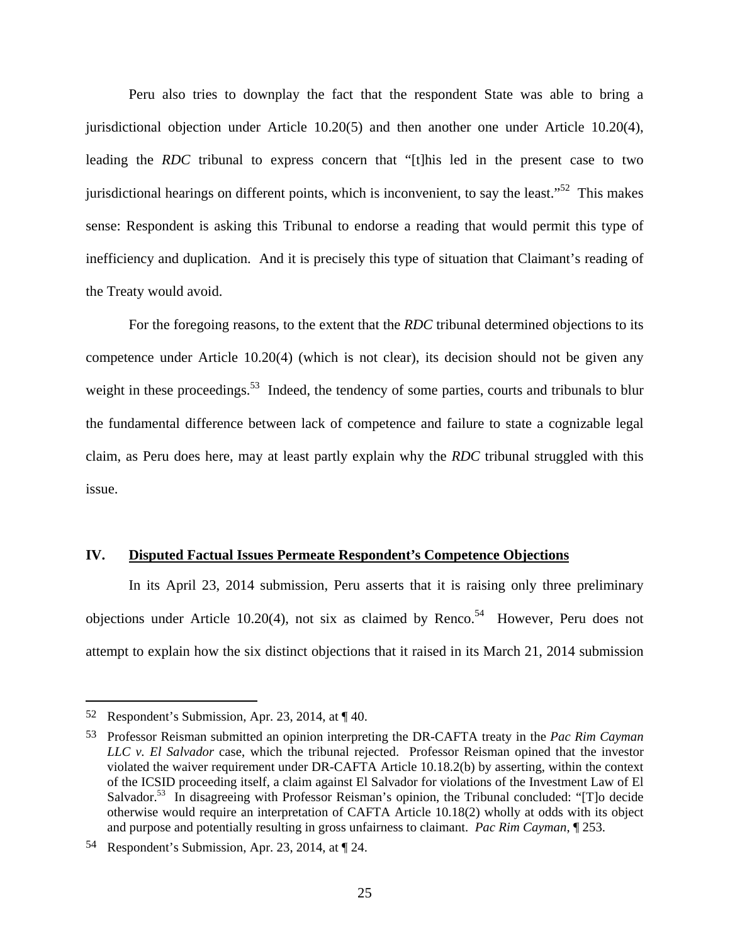Peru also tries to downplay the fact that the respondent State was able to bring a jurisdictional objection under Article 10.20(5) and then another one under Article 10.20(4), leading the *RDC* tribunal to express concern that "[t]his led in the present case to two jurisdictional hearings on different points, which is inconvenient, to say the least."<sup>52</sup> This makes sense: Respondent is asking this Tribunal to endorse a reading that would permit this type of inefficiency and duplication. And it is precisely this type of situation that Claimant's reading of the Treaty would avoid.

For the foregoing reasons, to the extent that the *RDC* tribunal determined objections to its competence under Article 10.20(4) (which is not clear), its decision should not be given any weight in these proceedings.<sup>53</sup> Indeed, the tendency of some parties, courts and tribunals to blur the fundamental difference between lack of competence and failure to state a cognizable legal claim, as Peru does here, may at least partly explain why the *RDC* tribunal struggled with this issue.

#### **IV. Disputed Factual Issues Permeate Respondent's Competence Objections**

In its April 23, 2014 submission, Peru asserts that it is raising only three preliminary objections under Article 10.20(4), not six as claimed by Renco.<sup>54</sup> However, Peru does not attempt to explain how the six distinct objections that it raised in its March 21, 2014 submission

<u>.</u>

<sup>52</sup> Respondent's Submission, Apr. 23, 2014, at  $\P$  40.

<sup>53</sup> Professor Reisman submitted an opinion interpreting the DR-CAFTA treaty in the *Pac Rim Cayman LLC v. El Salvador* case, which the tribunal rejected. Professor Reisman opined that the investor violated the waiver requirement under DR-CAFTA Article 10.18.2(b) by asserting, within the context of the ICSID proceeding itself, a claim against El Salvador for violations of the Investment Law of El Salvador.<sup>53</sup> In disagreeing with Professor Reisman's opinion, the Tribunal concluded: "[T]o decide otherwise would require an interpretation of CAFTA Article 10.18(2) wholly at odds with its object and purpose and potentially resulting in gross unfairness to claimant. *Pac Rim Cayman*, ¶ 253.

<sup>54</sup> Respondent's Submission, Apr. 23, 2014, at ¶ 24.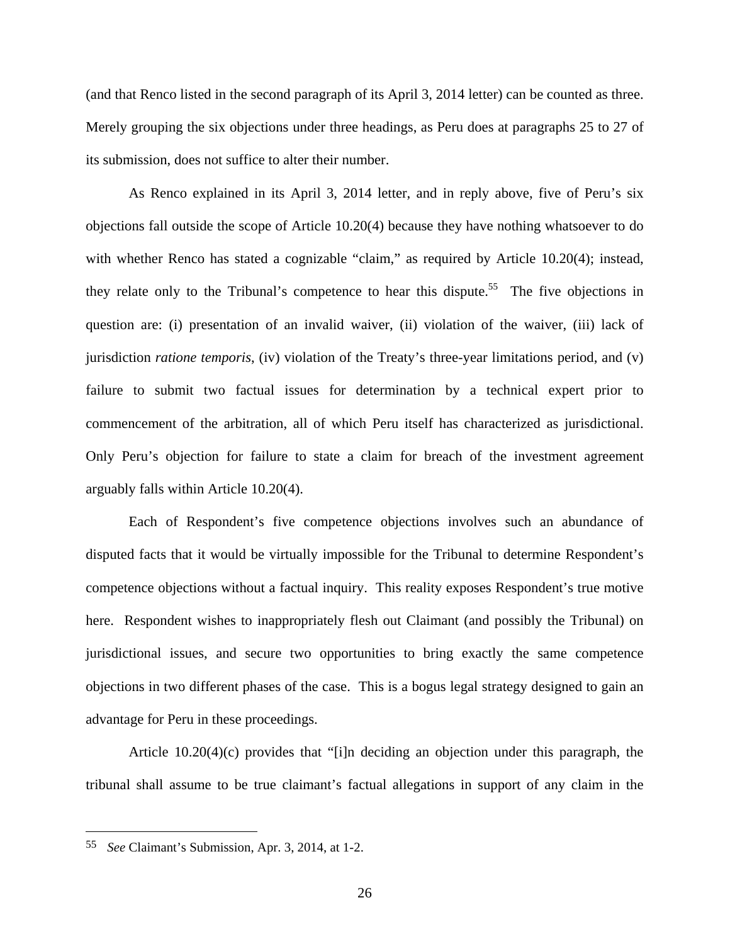(and that Renco listed in the second paragraph of its April 3, 2014 letter) can be counted as three. Merely grouping the six objections under three headings, as Peru does at paragraphs 25 to 27 of its submission, does not suffice to alter their number.

As Renco explained in its April 3, 2014 letter, and in reply above, five of Peru's six objections fall outside the scope of Article 10.20(4) because they have nothing whatsoever to do with whether Renco has stated a cognizable "claim," as required by Article 10.20(4); instead, they relate only to the Tribunal's competence to hear this dispute.<sup>55</sup> The five objections in question are: (i) presentation of an invalid waiver, (ii) violation of the waiver, (iii) lack of jurisdiction *ratione temporis*, (iv) violation of the Treaty's three-year limitations period, and (v) failure to submit two factual issues for determination by a technical expert prior to commencement of the arbitration, all of which Peru itself has characterized as jurisdictional. Only Peru's objection for failure to state a claim for breach of the investment agreement arguably falls within Article 10.20(4).

Each of Respondent's five competence objections involves such an abundance of disputed facts that it would be virtually impossible for the Tribunal to determine Respondent's competence objections without a factual inquiry. This reality exposes Respondent's true motive here. Respondent wishes to inappropriately flesh out Claimant (and possibly the Tribunal) on jurisdictional issues, and secure two opportunities to bring exactly the same competence objections in two different phases of the case. This is a bogus legal strategy designed to gain an advantage for Peru in these proceedings.

Article 10.20(4)(c) provides that "[i]n deciding an objection under this paragraph, the tribunal shall assume to be true claimant's factual allegations in support of any claim in the

<sup>55</sup> *See* Claimant's Submission, Apr. 3, 2014, at 1-2.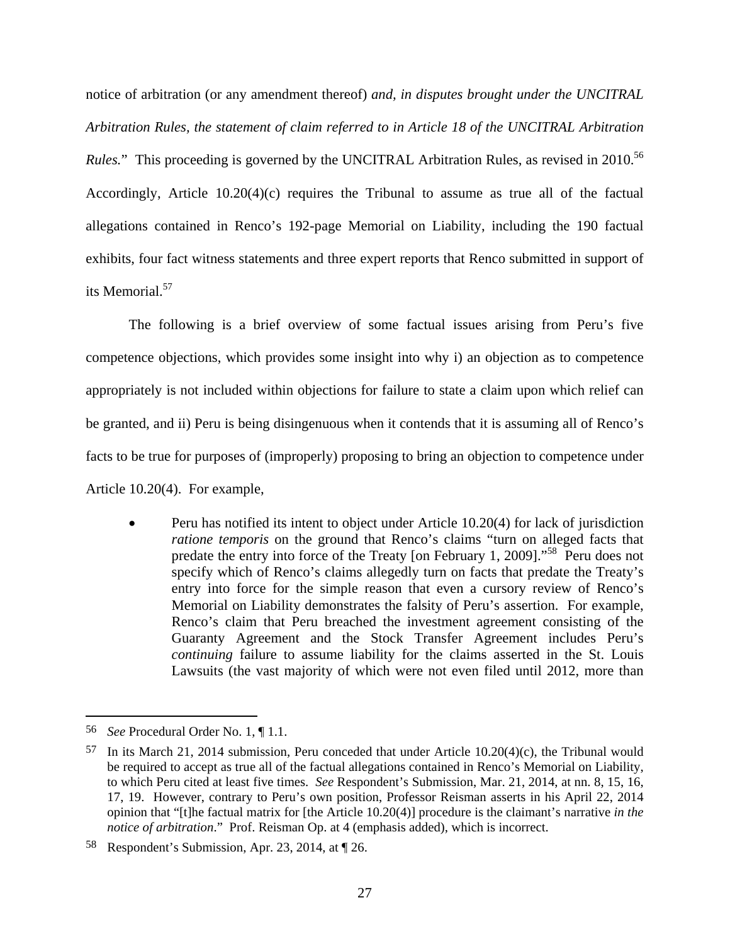notice of arbitration (or any amendment thereof) *and, in disputes brought under the UNCITRAL Arbitration Rules, the statement of claim referred to in Article 18 of the UNCITRAL Arbitration Rules.*" This proceeding is governed by the UNCITRAL Arbitration Rules, as revised in 2010.<sup>56</sup> Accordingly, Article 10.20(4)(c) requires the Tribunal to assume as true all of the factual allegations contained in Renco's 192-page Memorial on Liability, including the 190 factual exhibits, four fact witness statements and three expert reports that Renco submitted in support of its Memorial.<sup>57</sup>

The following is a brief overview of some factual issues arising from Peru's five competence objections, which provides some insight into why i) an objection as to competence appropriately is not included within objections for failure to state a claim upon which relief can be granted, and ii) Peru is being disingenuous when it contends that it is assuming all of Renco's facts to be true for purposes of (improperly) proposing to bring an objection to competence under Article 10.20(4). For example,

 Peru has notified its intent to object under Article 10.20(4) for lack of jurisdiction *ratione temporis* on the ground that Renco's claims "turn on alleged facts that predate the entry into force of the Treaty [on February 1, 2009]."58 Peru does not specify which of Renco's claims allegedly turn on facts that predate the Treaty's entry into force for the simple reason that even a cursory review of Renco's Memorial on Liability demonstrates the falsity of Peru's assertion. For example, Renco's claim that Peru breached the investment agreement consisting of the Guaranty Agreement and the Stock Transfer Agreement includes Peru's *continuing* failure to assume liability for the claims asserted in the St. Louis Lawsuits (the vast majority of which were not even filed until 2012, more than

<sup>56</sup> *See* Procedural Order No. 1, ¶ 1.1.

 $57$  In its March 21, 2014 submission, Peru conceded that under Article 10.20(4)(c), the Tribunal would be required to accept as true all of the factual allegations contained in Renco's Memorial on Liability, to which Peru cited at least five times. *See* Respondent's Submission, Mar. 21, 2014, at nn. 8, 15, 16, 17, 19. However, contrary to Peru's own position, Professor Reisman asserts in his April 22, 2014 opinion that "[t]he factual matrix for [the Article 10.20(4)] procedure is the claimant's narrative *in the notice of arbitration*." Prof. Reisman Op. at 4 (emphasis added), which is incorrect.

<sup>58</sup> Respondent's Submission, Apr. 23, 2014, at ¶ 26.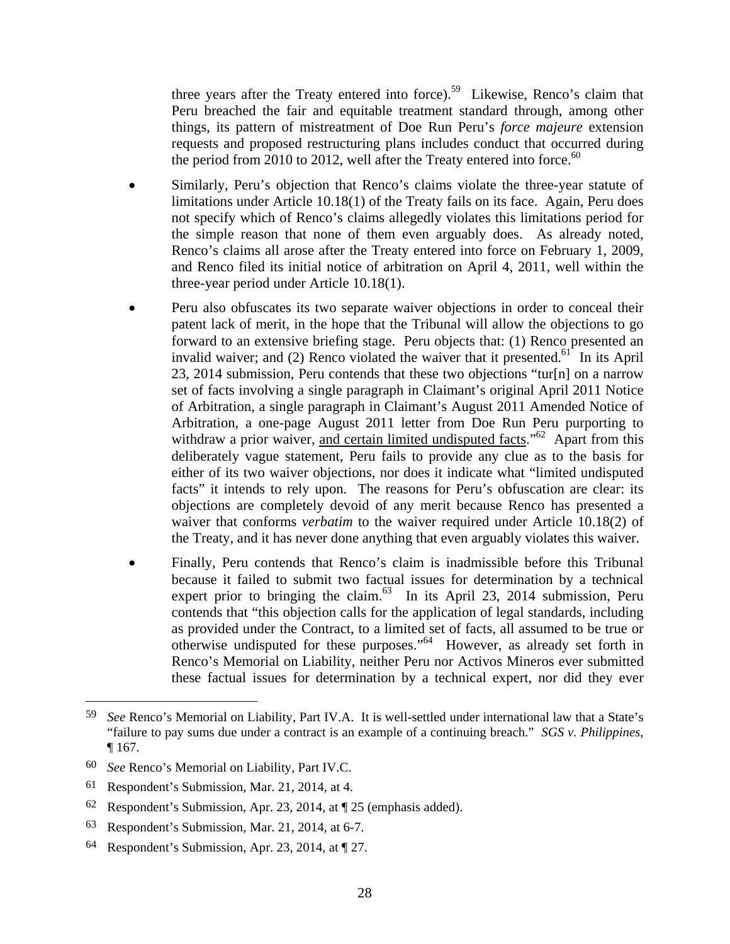three years after the Treaty entered into force).<sup>59</sup> Likewise, Renco's claim that Peru breached the fair and equitable treatment standard through, among other things, its pattern of mistreatment of Doe Run Peru's *force majeure* extension requests and proposed restructuring plans includes conduct that occurred during the period from 2010 to 2012, well after the Treaty entered into force.<sup>60</sup>

- Similarly, Peru's objection that Renco's claims violate the three-year statute of limitations under Article 10.18(1) of the Treaty fails on its face. Again, Peru does not specify which of Renco's claims allegedly violates this limitations period for the simple reason that none of them even arguably does. As already noted, Renco's claims all arose after the Treaty entered into force on February 1, 2009, and Renco filed its initial notice of arbitration on April 4, 2011, well within the three-year period under Article 10.18(1).
- Peru also obfuscates its two separate waiver objections in order to conceal their patent lack of merit, in the hope that the Tribunal will allow the objections to go forward to an extensive briefing stage. Peru objects that: (1) Renco presented an invalid waiver; and (2) Renco violated the waiver that it presented.<sup>61</sup> In its April 23, 2014 submission, Peru contends that these two objections "tur[n] on a narrow set of facts involving a single paragraph in Claimant's original April 2011 Notice of Arbitration, a single paragraph in Claimant's August 2011 Amended Notice of Arbitration, a one-page August 2011 letter from Doe Run Peru purporting to withdraw a prior waiver, and certain limited undisputed facts.<sup> $162$ </sup> Apart from this deliberately vague statement, Peru fails to provide any clue as to the basis for either of its two waiver objections, nor does it indicate what "limited undisputed facts" it intends to rely upon. The reasons for Peru's obfuscation are clear: its objections are completely devoid of any merit because Renco has presented a waiver that conforms *verbatim* to the waiver required under Article 10.18(2) of the Treaty, and it has never done anything that even arguably violates this waiver.
- Finally, Peru contends that Renco's claim is inadmissible before this Tribunal because it failed to submit two factual issues for determination by a technical expert prior to bringing the claim.<sup>63</sup> In its April 23, 2014 submission, Peru contends that "this objection calls for the application of legal standards, including as provided under the Contract, to a limited set of facts, all assumed to be true or otherwise undisputed for these purposes."64 However, as already set forth in Renco's Memorial on Liability, neither Peru nor Activos Mineros ever submitted these factual issues for determination by a technical expert, nor did they ever

<sup>59</sup> *See* Renco's Memorial on Liability, Part IV.A. It is well-settled under international law that a State's "failure to pay sums due under a contract is an example of a continuing breach." *SGS v. Philippines*, ¶ 167.

<sup>60</sup> *See* Renco's Memorial on Liability, Part IV.C.

<sup>61</sup> Respondent's Submission, Mar. 21, 2014, at 4.

<sup>62</sup> Respondent's Submission, Apr. 23, 2014, at ¶ 25 (emphasis added).

<sup>63</sup> Respondent's Submission, Mar. 21, 2014, at 6-7.

<sup>64</sup> Respondent's Submission, Apr. 23, 2014, at ¶ 27.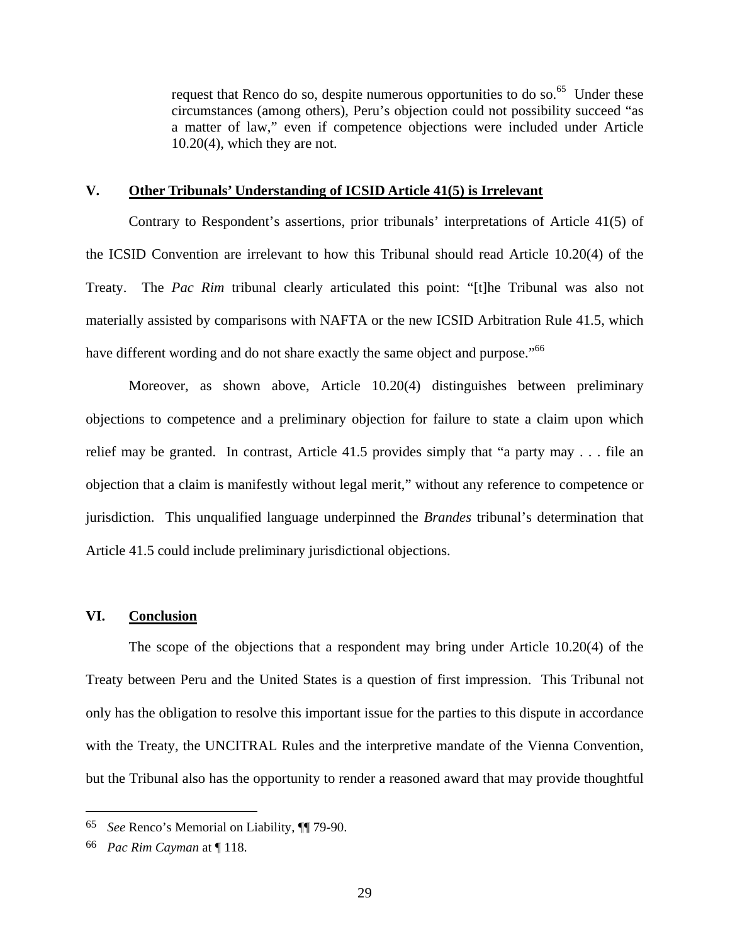request that Renco do so, despite numerous opportunities to do so.<sup>65</sup> Under these circumstances (among others), Peru's objection could not possibility succeed "as a matter of law," even if competence objections were included under Article 10.20(4), which they are not.

## **V. Other Tribunals' Understanding of ICSID Article 41(5) is Irrelevant**

Contrary to Respondent's assertions, prior tribunals' interpretations of Article 41(5) of the ICSID Convention are irrelevant to how this Tribunal should read Article 10.20(4) of the Treaty. The *Pac Rim* tribunal clearly articulated this point: "[t]he Tribunal was also not materially assisted by comparisons with NAFTA or the new ICSID Arbitration Rule 41.5, which have different wording and do not share exactly the same object and purpose."<sup>66</sup>

Moreover, as shown above, Article 10.20(4) distinguishes between preliminary objections to competence and a preliminary objection for failure to state a claim upon which relief may be granted. In contrast, Article 41.5 provides simply that "a party may . . . file an objection that a claim is manifestly without legal merit," without any reference to competence or jurisdiction. This unqualified language underpinned the *Brandes* tribunal's determination that Article 41.5 could include preliminary jurisdictional objections.

## **VI. Conclusion**

The scope of the objections that a respondent may bring under Article 10.20(4) of the Treaty between Peru and the United States is a question of first impression. This Tribunal not only has the obligation to resolve this important issue for the parties to this dispute in accordance with the Treaty, the UNCITRAL Rules and the interpretive mandate of the Vienna Convention, but the Tribunal also has the opportunity to render a reasoned award that may provide thoughtful

<sup>65</sup> *See* Renco's Memorial on Liability, ¶¶ 79-90.

<sup>66</sup> *Pac Rim Cayman* at ¶ 118.